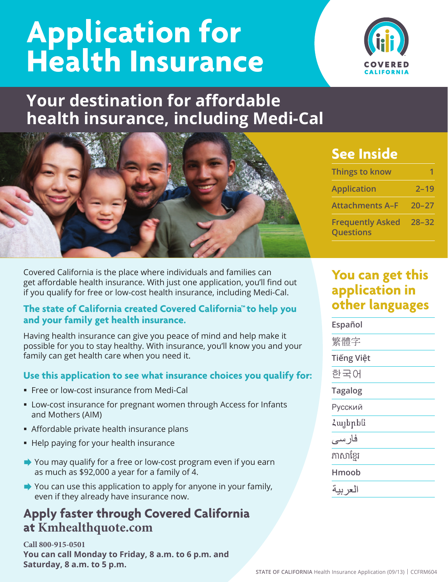# **Application for**  Health Insurance WIRE



## **Your destination for affordable health insurance, including Medi-Cal**



Covered California is the place where individuals and families can get affordable health insurance. With just one application, you'll find out if you qualify for free or low-cost health insurance, including Medi-Cal.

#### **The state of California created Covered California™ to help you and your family get health insurance.**

Having health insurance can give you peace of mind and help make it possible for you to stay healthy. With insurance, you'll know you and your family can get health care when you need it.

#### **Use this application to see what insurance choices you qualify for:**

- Free or low-cost insurance from Medi-Cal
- Low-cost insurance for pregnant women through Access for Infants and Mothers (AIM)
- Affordable private health insurance plans
- Help paying for your health insurance
- $\blacktriangleright$  You may qualify for a free or low-cost program even if you earn as much as  $$92,000$  a year for a family of 4.
- $\blacktriangleright$  You can use this application to apply for anyone in your family, even if they already have insurance now.

## **Apply faster through Covered California at Kmhealthquote.com**

**Call 800-915-0501 You can call Monday to Friday, 8 a.m. to 6 p.m. and Saturday, 8 a.m. to 5 p.m.** 

## **See Inside**

| Things to know                              |           |
|---------------------------------------------|-----------|
| <b>Application</b>                          | $2 - 19$  |
| <b>Attachments A-F</b>                      | $20 - 27$ |
| <b>Frequently Asked</b><br><b>Questions</b> | $28 - 32$ |

## **You can get this application in other languages**

**Español**  繁體字 **Tiếng Việt** 한국어 **Tagalog** Русский Հայերեն فارسى ភាសាខែរ **Hmoob**  العر بية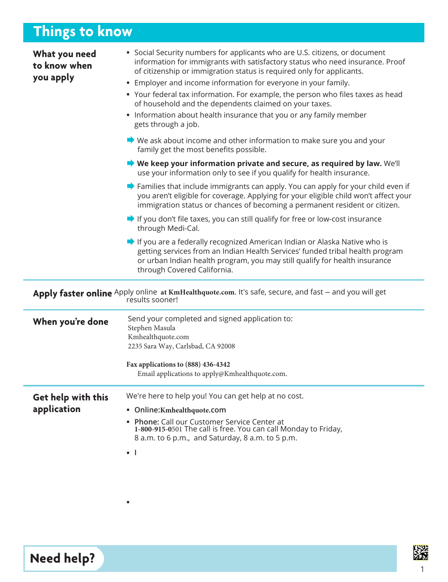## **Things to know**

| What you need<br>to know when<br>you apply                                                                               | • Social Security numbers for applicants who are U.S. citizens, or document<br>information for immigrants with satisfactory status who need insurance. Proof<br>of citizenship or immigration status is required only for applicants.<br><b>Employer and income information for everyone in your family.</b><br>• Your federal tax information. For example, the person who files taxes as head<br>of household and the dependents claimed on your taxes.<br>• Information about health insurance that you or any family member<br>gets through a job. |  |  |  |  |  |
|--------------------------------------------------------------------------------------------------------------------------|--------------------------------------------------------------------------------------------------------------------------------------------------------------------------------------------------------------------------------------------------------------------------------------------------------------------------------------------------------------------------------------------------------------------------------------------------------------------------------------------------------------------------------------------------------|--|--|--|--|--|
|                                                                                                                          | $\blacktriangleright$ We ask about income and other information to make sure you and your<br>family get the most benefits possible.                                                                                                                                                                                                                                                                                                                                                                                                                    |  |  |  |  |  |
|                                                                                                                          | $\blacktriangleright$ We keep your information private and secure, as required by law. We'll<br>use your information only to see if you qualify for health insurance.                                                                                                                                                                                                                                                                                                                                                                                  |  |  |  |  |  |
|                                                                                                                          | $\blacktriangleright$ Families that include immigrants can apply. You can apply for your child even if<br>you aren't eligible for coverage. Applying for your eligible child won't affect your<br>immigration status or chances of becoming a permanent resident or citizen.                                                                                                                                                                                                                                                                           |  |  |  |  |  |
|                                                                                                                          | $\blacktriangleright$ If you don't file taxes, you can still qualify for free or low-cost insurance<br>through Medi-Cal.                                                                                                                                                                                                                                                                                                                                                                                                                               |  |  |  |  |  |
|                                                                                                                          | If you are a federally recognized American Indian or Alaska Native who is<br>getting services from an Indian Health Services' funded tribal health program<br>or urban Indian health program, you may still qualify for health insurance<br>through Covered California.                                                                                                                                                                                                                                                                                |  |  |  |  |  |
| Apply faster online Apply online at KmHealthquote.com. It's safe, secure, and fast - and you will get<br>results sooner! |                                                                                                                                                                                                                                                                                                                                                                                                                                                                                                                                                        |  |  |  |  |  |
| When you're done                                                                                                         | Send your completed and signed application to:<br>Stephen Masula<br>Kmhealthquote.com                                                                                                                                                                                                                                                                                                                                                                                                                                                                  |  |  |  |  |  |

**Fax applications to (888) 436-4342**  Email applications to apply@Kmhealthquote.com

| Get help with this | We're here to help you! You can get help at no cost.                                                                                                                |  |  |  |
|--------------------|---------------------------------------------------------------------------------------------------------------------------------------------------------------------|--|--|--|
| application        | • Online: Kmhealthquote.com                                                                                                                                         |  |  |  |
|                    | • Phone: Call our Customer Service Center at<br>1-800-915-0501 The call is free. You can call Monday to Friday,<br>8 a.m. to 6 p.m., and Saturday, 8 a.m. to 5 p.m. |  |  |  |
|                    | . .                                                                                                                                                                 |  |  |  |

2235 Sara Way, Carlsbad, CA 92008

 $\blacksquare$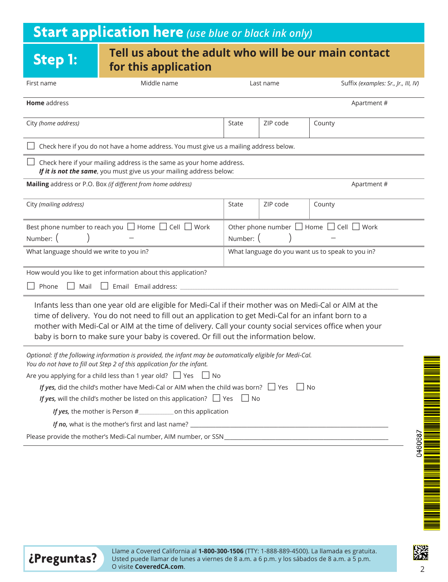## **Start application here** *(use blue or black ink only)*

### **Step 1: Tell us about the adult who will be our main contact for this application**

| First name                                                                                                                                                                                                                                                                                                                                                                                                                                                                                                                        | Middle name                                                                                                                                                                                                                                                                                                                                                                                                    |                                                                     | Last name | Suffix (examples: Sr., Jr., III, IV) |  |
|-----------------------------------------------------------------------------------------------------------------------------------------------------------------------------------------------------------------------------------------------------------------------------------------------------------------------------------------------------------------------------------------------------------------------------------------------------------------------------------------------------------------------------------|----------------------------------------------------------------------------------------------------------------------------------------------------------------------------------------------------------------------------------------------------------------------------------------------------------------------------------------------------------------------------------------------------------------|---------------------------------------------------------------------|-----------|--------------------------------------|--|
| Home address                                                                                                                                                                                                                                                                                                                                                                                                                                                                                                                      |                                                                                                                                                                                                                                                                                                                                                                                                                |                                                                     |           | Apartment#                           |  |
| City (home address)                                                                                                                                                                                                                                                                                                                                                                                                                                                                                                               |                                                                                                                                                                                                                                                                                                                                                                                                                | State                                                               | ZIP code  | County                               |  |
|                                                                                                                                                                                                                                                                                                                                                                                                                                                                                                                                   | Check here if you do not have a home address. You must give us a mailing address below.                                                                                                                                                                                                                                                                                                                        |                                                                     |           |                                      |  |
|                                                                                                                                                                                                                                                                                                                                                                                                                                                                                                                                   | Check here if your mailing address is the same as your home address.<br>If it is not the same, you must give us your mailing address below:                                                                                                                                                                                                                                                                    |                                                                     |           |                                      |  |
|                                                                                                                                                                                                                                                                                                                                                                                                                                                                                                                                   | Mailing address or P.O. Box (if different from home address)                                                                                                                                                                                                                                                                                                                                                   |                                                                     |           | Apartment#                           |  |
| City (mailing address)                                                                                                                                                                                                                                                                                                                                                                                                                                                                                                            |                                                                                                                                                                                                                                                                                                                                                                                                                | State                                                               | ZIP code  | County                               |  |
| Number: (                                                                                                                                                                                                                                                                                                                                                                                                                                                                                                                         | Best phone number to reach you I Home I Cell I Work                                                                                                                                                                                                                                                                                                                                                            | Other phone number $\Box$ Home $\Box$ Cell $\Box$ Work<br>Number: ( |           |                                      |  |
| What language should we write to you in?                                                                                                                                                                                                                                                                                                                                                                                                                                                                                          |                                                                                                                                                                                                                                                                                                                                                                                                                | What language do you want us to speak to you in?                    |           |                                      |  |
|                                                                                                                                                                                                                                                                                                                                                                                                                                                                                                                                   | How would you like to get information about this application?<br>Phone $\Box$ Mail $\Box$ Email Email address:                                                                                                                                                                                                                                                                                                 |                                                                     |           |                                      |  |
|                                                                                                                                                                                                                                                                                                                                                                                                                                                                                                                                   | Infants less than one year old are eligible for Medi-Cal if their mother was on Medi-Cal or AIM at the<br>time of delivery. You do not need to fill out an application to get Medi-Cal for an infant born to a<br>mother with Medi-Cal or AIM at the time of delivery. Call your county social services office when your<br>baby is born to make sure your baby is covered. Or fill out the information below. |                                                                     |           |                                      |  |
| Optional: If the following information is provided, the infant may be automatically eligible for Medi-Cal.<br>You do not have to fill out Step 2 of this application for the infant.<br>Are you applying for a child less than 1 year old? $\Box$ Yes $\Box$ No<br>If yes, did the child's mother have Medi-Cal or AIM when the child was born? $\Box$ Yes<br>IINO<br>If yes, will the child's mother be listed on this application? $\Box$ Yes $\Box$ No<br>If yes, the mother is Person #__________________ on this application |                                                                                                                                                                                                                                                                                                                                                                                                                |                                                                     |           |                                      |  |
|                                                                                                                                                                                                                                                                                                                                                                                                                                                                                                                                   |                                                                                                                                                                                                                                                                                                                                                                                                                |                                                                     |           |                                      |  |
|                                                                                                                                                                                                                                                                                                                                                                                                                                                                                                                                   | Please provide the mother's Medi-Cal number, AIM number, or SSN                                                                                                                                                                                                                                                                                                                                                |                                                                     |           |                                      |  |
|                                                                                                                                                                                                                                                                                                                                                                                                                                                                                                                                   |                                                                                                                                                                                                                                                                                                                                                                                                                |                                                                     |           |                                      |  |

懸

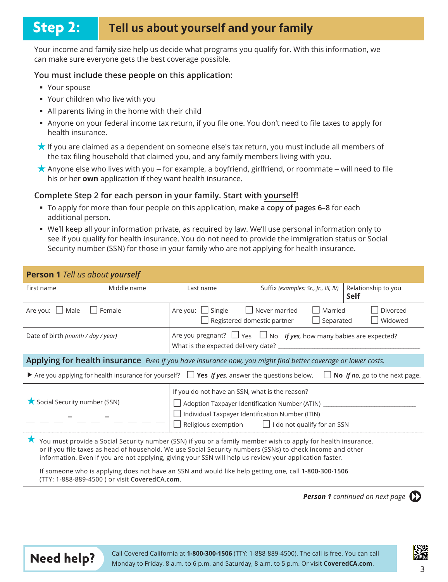## **Step 2: Tell us about yourself and your family**

Your income and family size help us decide what programs you qualify for. With this information, we can make sure everyone gets the best coverage possible.

#### **You must include these people on this application:**

- Your spouse
- Vour children who live with you
- All parents living in the home with their child
- " Anyone on your federal income tax return, if you file one. You don't need to file taxes to apply for health insurance.
- t If you are claimed as a dependent on someone else's tax return, you must include all members of the tax filing household that claimed you, and any family members living with you.
- $\star$  Anyone else who lives with you for example, a boyfriend, girlfriend, or roommate will need to file his or her **own** application if they want health insurance.

#### **Complete Step 2 for each person in your family. Start with yourself!**

- **To apply for more than four people on this application, make a copy of pages 6-8 for each** additional person.
- U We'll keep all your information private, as required by law. We'll use personal information only to see if you qualify for health insurance. You do not need to provide the immigration status or Social Security number (SSN) for those in your family who are not applying for health insurance.

| <b>Person 1</b> Tell us about yourself                                                                                                                                                                                                                                                                                                 |                                                                              |                                                     |                      |                                    |  |  |
|----------------------------------------------------------------------------------------------------------------------------------------------------------------------------------------------------------------------------------------------------------------------------------------------------------------------------------------|------------------------------------------------------------------------------|-----------------------------------------------------|----------------------|------------------------------------|--|--|
| Middle name<br>First name                                                                                                                                                                                                                                                                                                              | Last name                                                                    | Suffix (examples: Sr., Jr., III, IV)                |                      | Relationship to you<br><b>Self</b> |  |  |
| Are you: $\Box$ Male<br>  Female                                                                                                                                                                                                                                                                                                       | Are you: $\Box$ Single                                                       | $\Box$ Never married<br>Registered domestic partner | Married<br>Separated | Divorced<br>Widowed                |  |  |
| Date of birth (month / day / year)                                                                                                                                                                                                                                                                                                     | Are you pregnant? $\Box$ Yes $\Box$ No If yes, how many babies are expected? |                                                     |                      |                                    |  |  |
| Applying for health insurance Even if you have insurance now, you might find better coverage or lower costs.                                                                                                                                                                                                                           |                                                                              |                                                     |                      |                                    |  |  |
| Are you applying for health insurance for yourself? $\Box$ Yes If yes, answer the questions below.<br>$\Box$ No <i>If no</i> , go to the next page.                                                                                                                                                                                    |                                                                              |                                                     |                      |                                    |  |  |
| If you do not have an SSN, what is the reason?<br>Social Security number (SSN)<br>Adoption Taxpayer Identification Number (ATIN) ______________<br>Individual Taxpayer Identification Number (ITIN) _______<br>Religious exemption $\Box$ I do not qualify for an SSN                                                                  |                                                                              |                                                     |                      |                                    |  |  |
| You must provide a Social Security number (SSN) if you or a family member wish to apply for health insurance,<br>or if you file taxes as head of household. We use Social Security numbers (SSNs) to check income and other<br>information. Even if you are not applying, giving your SSN will help us review your application faster. |                                                                              |                                                     |                      |                                    |  |  |
| If someone who is applying does not have an SSN and would like help getting one, call 1-800-300-1506<br>(TTY: 1-888-889-4500) or visit CoveredCA.com.                                                                                                                                                                                  |                                                                              |                                                     |                      |                                    |  |  |

**Person 1** *Continued on next page*  $\qquad \qquad \blacktriangleright$ 



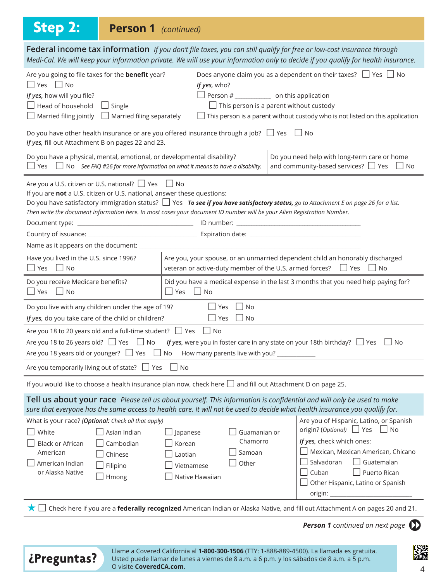## **Step 2: Person 1** *(continued)*

Federal income tax information *If you don't file taxes, you can still qualify for free or low-cost insurance through Medi-Cal. We will keep your information private. We will use your information only to decide if you qualify for health insurance.* Are you going to file taxes for the **benefit** year?  $\Box$  Vec  $\Box$  No Does anyone claim you as a dependent on their taxes?  $\Box$  Yes  $\Box$  No  $H$ *Wes, who?* 

| $\Box$ res $\Box$ INO<br>If yes, how will you file?<br>$\Box$ Head of household<br>$\Box$ Single<br>$\Box$ Married filing jointly                                                                                                                                                                                                                                                                      | $\Box$ Married filing separately                           | <i>ij yes, wrio?</i><br>$\Box$ Person # $\Box$ on this application<br>$\Box$ This person is a parent without custody |                          | This person is a parent without custody who is not listed on this application                                                                                                                                                                                                                           |  |  |  |
|--------------------------------------------------------------------------------------------------------------------------------------------------------------------------------------------------------------------------------------------------------------------------------------------------------------------------------------------------------------------------------------------------------|------------------------------------------------------------|----------------------------------------------------------------------------------------------------------------------|--------------------------|---------------------------------------------------------------------------------------------------------------------------------------------------------------------------------------------------------------------------------------------------------------------------------------------------------|--|--|--|
| Do you have other health insurance or are you offered insurance through a job? $\Box$ Yes $\Box$ No<br>If yes, fill out Attachment B on pages 22 and 23.                                                                                                                                                                                                                                               |                                                            |                                                                                                                      |                          |                                                                                                                                                                                                                                                                                                         |  |  |  |
| Do you have a physical, mental, emotional, or developmental disability?<br>Do you need help with long-term care or home<br>and community-based services? $\Box$ Yes $\Box$ No<br>$\Box$ Yes $\Box$ No See FAQ #26 for more information on what it means to have a disability.                                                                                                                          |                                                            |                                                                                                                      |                          |                                                                                                                                                                                                                                                                                                         |  |  |  |
| Are you a U.S. citizen or U.S. national? □ Yes □ No<br>If you are not a U.S. citizen or U.S. national, answer these questions:<br>Do you have satisfactory immigration status? $\Box$ Yes To see if you have satisfactory status, go to Attachment E on page 26 for a list.<br>Then write the document information here. In most cases your document ID number will be your Alien Registration Number. |                                                            |                                                                                                                      |                          |                                                                                                                                                                                                                                                                                                         |  |  |  |
| Have you lived in the U.S. since 1996?<br>Are you, your spouse, or an unmarried dependent child an honorably discharged<br>$\Box$ Yes $\Box$ No<br>veteran or active-duty member of the U.S. armed forces? $\Box$ Yes $\Box$ No                                                                                                                                                                        |                                                            |                                                                                                                      |                          |                                                                                                                                                                                                                                                                                                         |  |  |  |
| Do you receive Medicare benefits?<br>Did you have a medical expense in the last 3 months that you need help paying for?<br>$\Box$ No<br>$\Box$ Yes<br>$\Box$ Yes<br>$\Box$ No                                                                                                                                                                                                                          |                                                            |                                                                                                                      |                          |                                                                                                                                                                                                                                                                                                         |  |  |  |
| Do you live with any children under the age of 19?<br>  Yes   No<br>If yes, do you take care of the child or children?<br>$\Box$ Yes $\Box$ No                                                                                                                                                                                                                                                         |                                                            |                                                                                                                      |                          |                                                                                                                                                                                                                                                                                                         |  |  |  |
| Are you 18 to 20 years old and a full-time student? $\Box$ Yes $\Box$ No<br>Are you 18 to 26 years old? $\Box$ Yes $\Box$ No<br>If yes, were you in foster care in any state on your 18th birthday? $\Box$ Yes $\Box$ No                                                                                                                                                                               |                                                            |                                                                                                                      |                          |                                                                                                                                                                                                                                                                                                         |  |  |  |
| Are you temporarily living out of state? $\Box$ Yes $\Box$ No                                                                                                                                                                                                                                                                                                                                          |                                                            |                                                                                                                      |                          |                                                                                                                                                                                                                                                                                                         |  |  |  |
| If you would like to choose a health insurance plan now, check here $\Box$ and fill out Attachment D on page 25.                                                                                                                                                                                                                                                                                       |                                                            |                                                                                                                      |                          |                                                                                                                                                                                                                                                                                                         |  |  |  |
| Tell us about your race Please tell us about yourself. This information is confidential and will only be used to make<br>sure that everyone has the same access to health care. It will not be used to decide what health insurance you qualify for.                                                                                                                                                   |                                                            |                                                                                                                      |                          |                                                                                                                                                                                                                                                                                                         |  |  |  |
| What is your race? (Optional: Check all that apply)<br>White<br><b>Black or African</b><br>American<br>Chinese<br>$\Box$ American Indian<br>Filipino<br>or Alaska Native<br>Hmong                                                                                                                                                                                                                      | Asian Indian<br>Japanese<br>Cambodian<br>Korean<br>Laotian | Samoan<br>Other<br>Vietnamese<br>Native Hawaiian                                                                     | Guamanian or<br>Chamorro | Are you of Hispanic, Latino, or Spanish<br>origin? (Optional) $\Box$ Yes<br>$\Box$ No<br>If yes, check which ones:<br>Mexican, Mexican American, Chicano<br>$\Box$ Guatemalan<br>Salvadoran<br>Cuban<br>Puerto Rican<br>$\overline{\phantom{a}}$<br>Other Hispanic, Latino or Spanish<br>origin: $\_\_$ |  |  |  |

**★** □ Check here if you are a **federally recognized** American Indian or Alaska Native, and fill out Attachment A on pages 20 and 21.

**Person 1** continued on next page  $\Box$ 



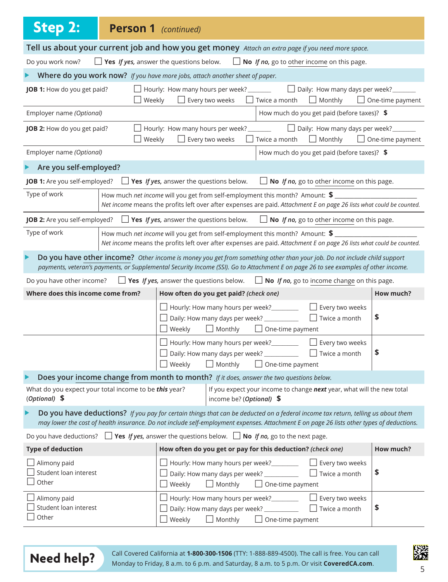| <b>Step 2:</b><br><b>Person 1</b> (continued)                                                                                                                                                                                                                                 |                                                                                                                                                                                                                                                                 |                         |  |  |  |
|-------------------------------------------------------------------------------------------------------------------------------------------------------------------------------------------------------------------------------------------------------------------------------|-----------------------------------------------------------------------------------------------------------------------------------------------------------------------------------------------------------------------------------------------------------------|-------------------------|--|--|--|
|                                                                                                                                                                                                                                                                               | Tell us about your current job and how you get money Attach an extra page if you need more space.                                                                                                                                                               |                         |  |  |  |
| Do you work now?                                                                                                                                                                                                                                                              | <b>Solution</b> Yes <i>If yes</i> , answer the questions below. $\Box$ <b>No</b> <i>If no</i> , go to other income on this page.                                                                                                                                |                         |  |  |  |
| Where do you work now? If you have more jobs, attach another sheet of paper.                                                                                                                                                                                                  |                                                                                                                                                                                                                                                                 |                         |  |  |  |
| JOB 1: How do you get paid?<br>Weekly                                                                                                                                                                                                                                         | Hourly: How many hours per week? $\Box$ Daily: How many days per week? $\Box$<br>$\Box$ Twice a month $\Box$ Monthly<br>$\Box$ Every two weeks                                                                                                                  | $\Box$ One-time payment |  |  |  |
| Employer name (Optional)                                                                                                                                                                                                                                                      | How much do you get paid (before taxes)? \$                                                                                                                                                                                                                     |                         |  |  |  |
| JOB 2: How do you get paid?<br>Weekly                                                                                                                                                                                                                                         | Hourly: How many hours per week? $\Box$ Daily: How many days per week? $\Box$<br>$\Box$ Monthly<br>$\perp$<br>Every two weeks<br>$\Box$ Twice a month                                                                                                           | $\Box$ One-time payment |  |  |  |
| Employer name (Optional)                                                                                                                                                                                                                                                      | How much do you get paid (before taxes)? \$                                                                                                                                                                                                                     |                         |  |  |  |
| Are you self-employed?                                                                                                                                                                                                                                                        |                                                                                                                                                                                                                                                                 |                         |  |  |  |
| <b>JOB 1:</b> Are you self-employed? $\Box$ <b>Yes</b> If yes, answer the questions below.                                                                                                                                                                                    | $\Box$ No If no, go to other income on this page.                                                                                                                                                                                                               |                         |  |  |  |
| Type of work                                                                                                                                                                                                                                                                  | How much net income will you get from self-employment this month? Amount: \$<br>Net income means the profits left over after expenses are paid. Attachment E on page 26 lists what could be counted.                                                            |                         |  |  |  |
| <b>JOB 2:</b> Are you self-employed? $\Box$ <b>Yes</b> <i>If yes</i> , answer the questions below.                                                                                                                                                                            | $\Box$ No If no, go to other income on this page.                                                                                                                                                                                                               |                         |  |  |  |
| Type of work                                                                                                                                                                                                                                                                  | How much net income will you get from self-employment this month? Amount: $\frac{1}{2}$<br>Net income means the profits left over after expenses are paid. Attachment E on page 26 lists what could be counted.                                                 |                         |  |  |  |
|                                                                                                                                                                                                                                                                               | Do you have other income? Other income is money you get from something other than your job. Do not include child support<br>payments, veteran's payments, or Supplemental Security Income (SSI). Go to Attachment E on page 26 to see examples of other income. |                         |  |  |  |
| Do you have other income?                                                                                                                                                                                                                                                     | <b>Solution</b> Yes <i>If yes</i> , answer the questions below. $\Box$ <b>No</b> <i>If no</i> , go to income change on this page.                                                                                                                               |                         |  |  |  |
| Where does this income come from?                                                                                                                                                                                                                                             | How often do you get paid? (check one)                                                                                                                                                                                                                          | How much?               |  |  |  |
|                                                                                                                                                                                                                                                                               | $\Box$ Hourly: How many hours per week? $\_\_$<br>Every two weeks<br>Twice a month<br>$\Box$ Daily: How many days per week? ______________<br>$\Box$ Weekly<br>$\Box$ Monthly<br>$\Box$ One-time payment                                                        | \$                      |  |  |  |
|                                                                                                                                                                                                                                                                               | Hourly: How many hours per week?_________<br>Every two weeks<br>Daily: How many days per week? ____________<br>$\Box$ Twice a month<br>$\Box$ Monthly<br>$\Box$ One-time payment<br>Weekly                                                                      | \$                      |  |  |  |
|                                                                                                                                                                                                                                                                               | Does your income change from month to month? If it does, answer the two questions below.                                                                                                                                                                        |                         |  |  |  |
| What do you expect your total income to be this year?<br>(Optional) \$                                                                                                                                                                                                        | If you expect your income to change next year, what will the new total<br>income be? ( <i>Optional</i> ) $$$                                                                                                                                                    |                         |  |  |  |
| Do you have deductions? If you pay for certain things that can be deducted on a federal income tax return, telling us about them<br>may lower the cost of health insurance. Do not include self-employment expenses. Attachment E on page 26 lists other types of deductions. |                                                                                                                                                                                                                                                                 |                         |  |  |  |
| Do you have deductions? $\Box$ Yes If yes, answer the questions below. $\Box$ No If no, go to the next page.                                                                                                                                                                  |                                                                                                                                                                                                                                                                 |                         |  |  |  |
| <b>Type of deduction</b>                                                                                                                                                                                                                                                      | How often do you get or pay for this deduction? (check one)                                                                                                                                                                                                     | How much?               |  |  |  |
| Alimony paid<br>Student loan interest<br>Other                                                                                                                                                                                                                                | Hourly: How many hours per week?<br>Every two weeks<br>Daily: How many days per week? ____________<br>Twice a month<br>Weekly<br>$\Box$ Monthly<br>$\Box$ One-time payment                                                                                      | \$                      |  |  |  |
| Alimony paid<br>Student loan interest<br>Other                                                                                                                                                                                                                                | Hourly: How many hours per week?<br>Every two weeks<br>Daily: How many days per week? ____________<br>Twice a month<br>Weekly<br>$\Box$ Monthly<br>One-time payment                                                                                             | \$                      |  |  |  |



Call Covered California at **1-800-300-1506** (TTY: 1-888-889-4500). The call is free. You can call **Need help?** Monday to Friday, 8 a.m. to 6 p.m. and Saturday, 8 a.m. to 5 p.m. Or visit **CoveredCA.com.**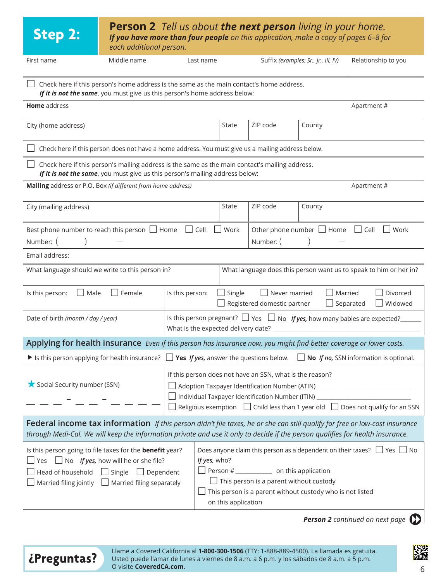| <b>Person 2</b> Tell us about <b>the next person</b> living in your home.<br><b>Step 2:</b><br>If you have more than four people on this application, make a copy of pages 6-8 for<br>each additional person.                                                                                                                                                                                                                                                                                                                                                          |                                                                                                                                                                                |                 |             |                                     |                                                            |                                      |                                                                                     |
|------------------------------------------------------------------------------------------------------------------------------------------------------------------------------------------------------------------------------------------------------------------------------------------------------------------------------------------------------------------------------------------------------------------------------------------------------------------------------------------------------------------------------------------------------------------------|--------------------------------------------------------------------------------------------------------------------------------------------------------------------------------|-----------------|-------------|-------------------------------------|------------------------------------------------------------|--------------------------------------|-------------------------------------------------------------------------------------|
| First name                                                                                                                                                                                                                                                                                                                                                                                                                                                                                                                                                             | Middle name                                                                                                                                                                    |                 | Last name   |                                     |                                                            | Suffix (examples: Sr., Jr., III, IV) | Relationship to you                                                                 |
| Check here if this person's home address is the same as the main contact's home address.<br>If it is not the same, you must give us this person's home address below:                                                                                                                                                                                                                                                                                                                                                                                                  |                                                                                                                                                                                |                 |             |                                     |                                                            |                                      |                                                                                     |
| Home address                                                                                                                                                                                                                                                                                                                                                                                                                                                                                                                                                           |                                                                                                                                                                                |                 |             |                                     |                                                            |                                      | Apartment#                                                                          |
| City (home address)                                                                                                                                                                                                                                                                                                                                                                                                                                                                                                                                                    |                                                                                                                                                                                |                 |             | State                               | ZIP code                                                   | County                               |                                                                                     |
|                                                                                                                                                                                                                                                                                                                                                                                                                                                                                                                                                                        | Check here if this person does not have a home address. You must give us a mailing address below.                                                                              |                 |             |                                     |                                                            |                                      |                                                                                     |
|                                                                                                                                                                                                                                                                                                                                                                                                                                                                                                                                                                        | Check here if this person's mailing address is the same as the main contact's mailing address.<br>If it is not the same, you must give us this person's mailing address below: |                 |             |                                     |                                                            |                                      |                                                                                     |
| Mailing address or P.O. Box (if different from home address)                                                                                                                                                                                                                                                                                                                                                                                                                                                                                                           |                                                                                                                                                                                |                 |             |                                     |                                                            |                                      | Apartment#                                                                          |
| City (mailing address)                                                                                                                                                                                                                                                                                                                                                                                                                                                                                                                                                 |                                                                                                                                                                                |                 |             | State                               | ZIP code                                                   | County                               |                                                                                     |
| Best phone number to reach this person $\Box$ Home<br>Number: (                                                                                                                                                                                                                                                                                                                                                                                                                                                                                                        |                                                                                                                                                                                |                 | $\Box$ Cell | $\Box$ Work                         | Number: (                                                  | Other phone number $\Box$ Home       | $\Box$ Cell<br>$\Box$ Work                                                          |
| Email address:                                                                                                                                                                                                                                                                                                                                                                                                                                                                                                                                                         |                                                                                                                                                                                |                 |             |                                     |                                                            |                                      |                                                                                     |
| What language should we write to this person in?                                                                                                                                                                                                                                                                                                                                                                                                                                                                                                                       |                                                                                                                                                                                |                 |             |                                     |                                                            |                                      | What language does this person want us to speak to him or her in?                   |
| $\Box$ Male<br>Is this person:                                                                                                                                                                                                                                                                                                                                                                                                                                                                                                                                         | $\mathsf{\rfloor}$ Female                                                                                                                                                      | Is this person: |             | $\Box$ Single                       | $\Box$ Never married<br>$\Box$ Registered domestic partner | Married<br>$\Box$ Separated          | Divorced<br>Widowed                                                                 |
| Date of birth (month / day / year)                                                                                                                                                                                                                                                                                                                                                                                                                                                                                                                                     |                                                                                                                                                                                |                 |             | What is the expected delivery date? |                                                            |                                      | Is this person pregnant? $\Box$ Yes $\Box$ No If yes, how many babies are expected? |
| Applying for health insurance Even if this person has insurance now, you might find better coverage or lower costs.                                                                                                                                                                                                                                                                                                                                                                                                                                                    |                                                                                                                                                                                |                 |             |                                     |                                                            |                                      |                                                                                     |
| If is this person applying for health insurance? $\Box$ Yes If yes, answer the questions below.                                                                                                                                                                                                                                                                                                                                                                                                                                                                        |                                                                                                                                                                                |                 |             |                                     |                                                            |                                      | No If no, SSN information is optional.                                              |
| If this person does not have an SSN, what is the reason?<br>Social Security number (SSN)<br>Adoption Taxpayer Identification Number (ATIN) _________________________________<br>□ Individual Taxpayer Identification Number (ITIN) ____________________________<br>$\Box$ Religious exemption $\Box$ Child less than 1 year old $\Box$ Does not qualify for an SSN                                                                                                                                                                                                     |                                                                                                                                                                                |                 |             |                                     |                                                            |                                      |                                                                                     |
| Federal income tax information If this person didn't file taxes, he or she can still qualify for free or low-cost insurance<br>through Medi-Cal. We will keep the information private and use it only to decide if the person qualifies for health insurance.                                                                                                                                                                                                                                                                                                          |                                                                                                                                                                                |                 |             |                                     |                                                            |                                      |                                                                                     |
| Does anyone claim this person as a dependent on their taxes? $\Box$ Yes $\Box$ No<br>Is this person going to file taxes for the <b>benefit</b> year?<br>Yes $\Box$ No If yes, how will he or she file?<br>If yes, who?<br>$\Box$ Person # $\Box$ on this application<br>$\Box$ Single $\Box$ Dependent<br>Head of household<br>$\Box$ This person is a parent without custody<br>Married filing jointly $\Box$ Married filing separately<br>This person is a parent without custody who is not listed<br>on this application<br><b>Person 2</b> continued on next page |                                                                                                                                                                                |                 |             |                                     |                                                            |                                      |                                                                                     |
|                                                                                                                                                                                                                                                                                                                                                                                                                                                                                                                                                                        |                                                                                                                                                                                |                 |             |                                     |                                                            |                                      |                                                                                     |

Llame a Covered California al **1-800-300-1506** (TTY: 1-888-889-4500). La llamada es gratuita.<br>Usted puede llamar de lunes a viernes de 8 a.m. a 6 p.m. y los sábados de 8 a.m. a 5 p.m. O visite **CoveredCA.com**.

躖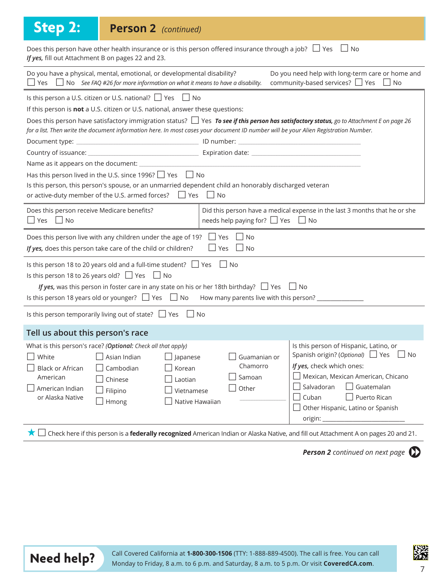| <b>Step 2:</b>                                                                                                                                                                                                                                      | <b>Person 2</b> (continued)                                                                                                                                                                                                                                         |                                                                                     |                                                                                                                                                                                                                                                                                       |  |  |  |  |
|-----------------------------------------------------------------------------------------------------------------------------------------------------------------------------------------------------------------------------------------------------|---------------------------------------------------------------------------------------------------------------------------------------------------------------------------------------------------------------------------------------------------------------------|-------------------------------------------------------------------------------------|---------------------------------------------------------------------------------------------------------------------------------------------------------------------------------------------------------------------------------------------------------------------------------------|--|--|--|--|
| Does this person have other health insurance or is this person offered insurance through a job? $\Box$ Yes $\Box$ No<br>If yes, fill out Attachment B on pages 22 and 23.                                                                           |                                                                                                                                                                                                                                                                     |                                                                                     |                                                                                                                                                                                                                                                                                       |  |  |  |  |
|                                                                                                                                                                                                                                                     | Do you have a physical, mental, emotional, or developmental disability?<br>Do you need help with long-term care or home and<br>community-based services? ■ Yes ■ No<br>$\Box$ Yes $\Box$ No See FAQ #26 for more information on what it means to have a disability. |                                                                                     |                                                                                                                                                                                                                                                                                       |  |  |  |  |
|                                                                                                                                                                                                                                                     | Is this person a U.S. citizen or U.S. national? $\Box$ Yes $\Box$ No<br>If this person is not a U.S. citizen or U.S. national, answer these questions:                                                                                                              |                                                                                     |                                                                                                                                                                                                                                                                                       |  |  |  |  |
| Document type: _                                                                                                                                                                                                                                    |                                                                                                                                                                                                                                                                     |                                                                                     | Does this person have satisfactory immigration status? $\Box$ Yes To see if this person has satisfactory status, go to Attachment E on page 26<br>for a list. Then write the document information here. In most cases your document ID number will be your Alien Registration Number. |  |  |  |  |
|                                                                                                                                                                                                                                                     | Has this person lived in the U.S. since 1996? Ves No                                                                                                                                                                                                                |                                                                                     |                                                                                                                                                                                                                                                                                       |  |  |  |  |
|                                                                                                                                                                                                                                                     | Is this person, this person's spouse, or an unmarried dependent child an honorably discharged veteran<br>or active-duty member of the U.S. armed forces? $\Box$ Yes $\Box$ No                                                                                       |                                                                                     |                                                                                                                                                                                                                                                                                       |  |  |  |  |
| Did this person have a medical expense in the last 3 months that he or she<br>Does this person receive Medicare benefits?<br>needs help paying for? $\Box$ Yes $\Box$ No<br>$\Box$ Yes $\Box$ No                                                    |                                                                                                                                                                                                                                                                     |                                                                                     |                                                                                                                                                                                                                                                                                       |  |  |  |  |
| Does this person live with any children under the age of 19? $\Box$ Yes $\Box$ No<br>If yes, does this person take care of the child or children?<br>$\Box$ Yes $\Box$ No                                                                           |                                                                                                                                                                                                                                                                     |                                                                                     |                                                                                                                                                                                                                                                                                       |  |  |  |  |
| Is this person 18 to 20 years old and a full-time student? $\Box$ Yes $\Box$ No<br>Is this person 18 to 26 years old? $\Box$ Yes $\Box$ No<br>If yes, was this person in foster care in any state on his or her 18th birthday? $\Box$ Yes $\Box$ No |                                                                                                                                                                                                                                                                     |                                                                                     |                                                                                                                                                                                                                                                                                       |  |  |  |  |
|                                                                                                                                                                                                                                                     | Is this person temporarily living out of state? $\Box$ Yes $\Box$ No                                                                                                                                                                                                |                                                                                     |                                                                                                                                                                                                                                                                                       |  |  |  |  |
| Tell us about this person's race                                                                                                                                                                                                                    |                                                                                                                                                                                                                                                                     |                                                                                     |                                                                                                                                                                                                                                                                                       |  |  |  |  |
| White<br><b>Black or African</b><br>American<br>American Indian<br>or Alaska Native                                                                                                                                                                 | What is this person's race? (Optional: Check all that apply)<br>Asian Indian<br>$\Box$ Japanese<br>Cambodian<br>Korean<br>Chinese<br>Laotian<br>Filipino<br>Hmong                                                                                                   | Guamanian or<br>Chamorro<br>Samoan<br>$\Box$ Other<br>Vietnamese<br>Native Hawaiian | Is this person of Hispanic, Latino, or<br>Spanish origin? (Optional) □ Yes<br>l INo<br>If yes, check which ones:<br>Mexican, Mexican American, Chicano<br>Guatemalan<br>Salvadoran<br>Cuban<br>Puerto Rican<br>Other Hispanic, Latino or Spanish<br>origin: _                         |  |  |  |  |
| ★□                                                                                                                                                                                                                                                  |                                                                                                                                                                                                                                                                     |                                                                                     | Check here if this person is a federally recognized American Indian or Alaska Native, and fill out Attachment A on pages 20 and 21.                                                                                                                                                   |  |  |  |  |

**Person 2** continued on next page  $\mathbb{D}$ 



Call Covered California at **1-800-300-1506** (TTY: 1-888-889-4500). The call is free. You can call **Need help?** Monday to Friday, 8 a.m. to 6 p.m. and Saturday, 8 a.m. to 5 p.m. Or visit **CoveredCA.com.** 

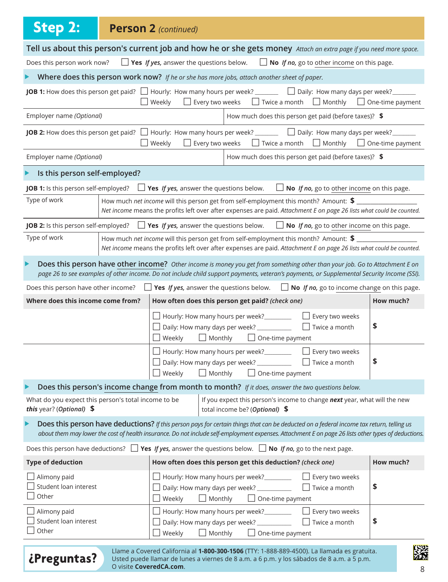| <b>Step 2:</b>                                                                  | <b>Person 2 (continued)</b>                            |                                                                                                                                                                                                                                                                                                  |                                                             |                         |
|---------------------------------------------------------------------------------|--------------------------------------------------------|--------------------------------------------------------------------------------------------------------------------------------------------------------------------------------------------------------------------------------------------------------------------------------------------------|-------------------------------------------------------------|-------------------------|
|                                                                                 |                                                        | Tell us about this person's current job and how he or she gets money Attach an extra page if you need more space.                                                                                                                                                                                |                                                             |                         |
| Does this person work now?                                                      | $\Box$ Yes <i>If yes</i> , answer the questions below. |                                                                                                                                                                                                                                                                                                  | $\Box$ No If no, go to other income on this page.           |                         |
|                                                                                 |                                                        | Where does this person work now? If he or she has more jobs, attach another sheet of paper.                                                                                                                                                                                                      |                                                             |                         |
|                                                                                 | $\Box$ Every two weeks<br>$\Box$ Weekly                | <b>JOB 1:</b> How does this person get paid? $\Box$ Hourly: How many hours per week? ________ $\Box$ Daily: How many days per week? _______                                                                                                                                                      | $\Box$ Twice a month $\Box$ Monthly $\Box$ One-time payment |                         |
| Employer name (Optional)                                                        |                                                        |                                                                                                                                                                                                                                                                                                  | How much does this person get paid (before taxes)? \$       |                         |
|                                                                                 | Weekly<br>Every two weeks                              | <b>JOB 2:</b> How does this person get paid? $\Box$ Hourly: How many hours per week? $\Box$ Daily: How many days per week?                                                                                                                                                                       | $\Box$ Twice a month $\Box$ Monthly                         | $\Box$ One-time payment |
| Employer name (Optional)                                                        |                                                        |                                                                                                                                                                                                                                                                                                  | How much does this person get paid (before taxes)? \$       |                         |
| Is this person self-employed?                                                   |                                                        |                                                                                                                                                                                                                                                                                                  |                                                             |                         |
| JOB 1: Is this person self-employed?                                            | $\Box$ Yes If yes, answer the questions below.         |                                                                                                                                                                                                                                                                                                  | No If no, go to other income on this page.                  |                         |
| Type of work                                                                    |                                                        | How much net income will this person get from self-employment this month? Amount: \$<br>Net income means the profits left over after expenses are paid. Attachment E on page 26 lists what could be counted.                                                                                     |                                                             |                         |
|                                                                                 |                                                        | <b>JOB 2:</b> Is this person self-employed? $\Box$ <b>Yes</b> If yes, answer the questions below. $\Box$ <b>No</b> If no, go to other income on this page.                                                                                                                                       |                                                             |                         |
| Type of work                                                                    |                                                        | How much net income will this person get from self-employment this month? Amount: \$<br>Net income means the profits left over after expenses are paid. Attachment E on page 26 lists what could be counted.                                                                                     |                                                             |                         |
| ▶                                                                               |                                                        | Does this person have other income? Other income is money you get from something other than your job. Go to Attachment E on<br>page 26 to see examples of other income. Do not include child support payments, veteran's payments, or Supplemental Security Income (SSI).                        |                                                             |                         |
| Does this person have other income? $\Box$                                      |                                                        | <b>Yes</b> If yes, answer the questions below. $\Box$ <b>No</b> If no, go to income change on this page.                                                                                                                                                                                         |                                                             |                         |
| Where does this income come from?                                               |                                                        | How often does this person get paid? (check one)                                                                                                                                                                                                                                                 |                                                             | How much?               |
|                                                                                 | $\blacksquare$ Weekly<br>$\Box$ Monthly                | Hourly: How many hours per week?<br>Daily: How many days per week? ____________<br>$\Box$ One-time payment                                                                                                                                                                                       | $\Box$ Every two weeks<br>$\Box$ Twice a month              | \$                      |
|                                                                                 | $\Box$ Weekly<br>$\Box$ Monthly                        | □ Hourly: How many hours per week? ___________ □ Every two weeks<br>Daily: How many days per week? ____________<br>$\Box$ One-time payment                                                                                                                                                       | $\Box$ Twice a month                                        | \$                      |
|                                                                                 |                                                        | Does this person's income change from month to month? If it does, answer the two questions below.                                                                                                                                                                                                |                                                             |                         |
| What do you expect this person's total income to be<br>this year? (Optional) \$ |                                                        | If you expect this person's income to change next year, what will the new<br>total income be? (Optional) \$                                                                                                                                                                                      |                                                             |                         |
|                                                                                 |                                                        | Does this person have deductions? If this person pays for certain things that can be deducted on a federal income tax return, telling us<br>about them may lower the cost of health insurance. Do not include self-employment expenses. Attachment E on page 26 lists other types of deductions. |                                                             |                         |
|                                                                                 |                                                        | Does this person have deductions? $\Box$ Yes <i>If yes</i> , answer the questions below. $\Box$ No <i>If no</i> , go to the next page.                                                                                                                                                           |                                                             |                         |
| <b>Type of deduction</b>                                                        |                                                        | How often does this person get this deduction? (check one)                                                                                                                                                                                                                                       |                                                             | How much?               |
| Alimony paid<br>Student loan interest<br>Other                                  | Weekly<br>$\Box$ Monthly                               | Hourly: How many hours per week?<br>Daily: How many days per week? ____________<br>$\Box$ One-time payment                                                                                                                                                                                       | $\Box$ Every two weeks<br>$\Box$ Twice a month              | \$                      |
| Alimony paid<br>Student loan interest<br>Other                                  | Weekly<br>$\Box$ Monthly                               | Hourly: How many hours per week?<br>Daily: How many days per week? ____________<br>$\Box$ One-time payment                                                                                                                                                                                       | $\Box$ Every two weeks<br>$\Box$ Twice a month              | \$                      |
| $j$ Preguntas?                                                                  |                                                        | Llame a Covered California al 1-800-300-1506 (TTY: 1-888-889-4500). La llamada es gratuita.<br>Usted puede llamar de lunes a viernes de 8 a.m. a 6 p.m. y los sábados de 8 a.m. a 5 p.m.                                                                                                         |                                                             |                         |

| ¿Preguntas? |
|-------------|
|-------------|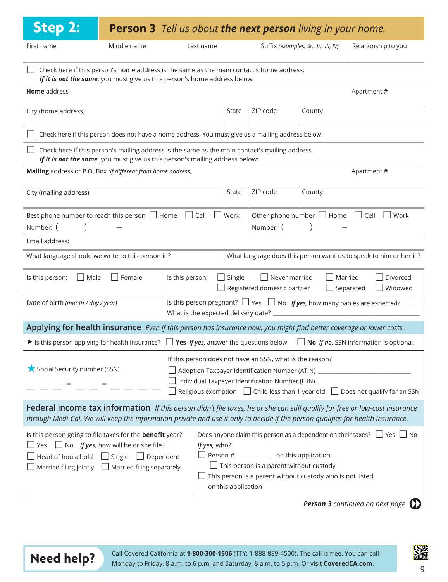| <b>Step 2:</b>                                                                                                                                                                                                                                                                                                                                               |                                                                                                   | <b>Person 3</b> Tell us about <b>the next person</b> living in your home. |                     |                                                                                              |                                                           |                                                                                     |
|--------------------------------------------------------------------------------------------------------------------------------------------------------------------------------------------------------------------------------------------------------------------------------------------------------------------------------------------------------------|---------------------------------------------------------------------------------------------------|---------------------------------------------------------------------------|---------------------|----------------------------------------------------------------------------------------------|-----------------------------------------------------------|-------------------------------------------------------------------------------------|
| First name                                                                                                                                                                                                                                                                                                                                                   | Middle name                                                                                       | Last name                                                                 |                     |                                                                                              | Suffix (examples: Sr., Jr., III, IV)                      | Relationship to you                                                                 |
| Check here if this person's home address is the same as the main contact's home address.                                                                                                                                                                                                                                                                     | If it is not the same, you must give us this person's home address below:                         |                                                                           |                     |                                                                                              |                                                           |                                                                                     |
| Home address                                                                                                                                                                                                                                                                                                                                                 |                                                                                                   |                                                                           |                     |                                                                                              |                                                           | Apartment#                                                                          |
| City (home address)                                                                                                                                                                                                                                                                                                                                          |                                                                                                   |                                                                           | State               | ZIP code                                                                                     | County                                                    |                                                                                     |
|                                                                                                                                                                                                                                                                                                                                                              | Check here if this person does not have a home address. You must give us a mailing address below. |                                                                           |                     |                                                                                              |                                                           |                                                                                     |
| Check here if this person's mailing address is the same as the main contact's mailing address.                                                                                                                                                                                                                                                               | If it is not the same, you must give us this person's mailing address below:                      |                                                                           |                     |                                                                                              |                                                           |                                                                                     |
| Mailing address or P.O. Box (if different from home address)                                                                                                                                                                                                                                                                                                 |                                                                                                   |                                                                           |                     |                                                                                              |                                                           | Apartment#                                                                          |
| City (mailing address)                                                                                                                                                                                                                                                                                                                                       |                                                                                                   |                                                                           | State               | ZIP code                                                                                     | County                                                    |                                                                                     |
| Best phone number to reach this person $\Box$ Home $\Box$ Cell<br>Other phone number $\Box$ Home $\Box$ Cell $\Box$ Work<br>$\Box$ Work<br>Number: (<br>Number: (                                                                                                                                                                                            |                                                                                                   |                                                                           |                     |                                                                                              |                                                           |                                                                                     |
| Email address:                                                                                                                                                                                                                                                                                                                                               |                                                                                                   |                                                                           |                     |                                                                                              |                                                           |                                                                                     |
| What language should we write to this person in?                                                                                                                                                                                                                                                                                                             |                                                                                                   |                                                                           |                     |                                                                                              |                                                           | What language does this person want us to speak to him or her in?                   |
| Is this person:<br>$\Box$ Male                                                                                                                                                                                                                                                                                                                               | $\Box$ Female                                                                                     | Is this person:                                                           | $\Box$ Single       | $\Box$ Never married<br>Registered domestic partner                                          | Married<br>$\Box$ Separated                               | Divorced<br>Widowed                                                                 |
| Date of birth (month / day / year)                                                                                                                                                                                                                                                                                                                           |                                                                                                   | What is the expected delivery date?                                       |                     |                                                                                              |                                                           | Is this person pregnant? $\Box$ Yes $\Box$ No If yes, how many babies are expected? |
| Applying for health insurance Even if this person has insurance now, you might find better coverage or lower costs.                                                                                                                                                                                                                                          |                                                                                                   |                                                                           |                     |                                                                                              |                                                           |                                                                                     |
| In It is this person applying for health insurance? $\Box$ Yes If yes, answer the questions below. $\Box$ No If no, SSN information is optional.                                                                                                                                                                                                             |                                                                                                   |                                                                           |                     |                                                                                              |                                                           |                                                                                     |
| If this person does not have an SSN, what is the reason?<br>Social Security number (SSN)<br>Adoption Taxpayer Identification Number (ATIN) _________________________________<br>Individual Taxpayer Identification Number (ITIN) _______________________________<br>Religious exemption $\Box$ Child less than 1 year old $\Box$ Does not qualify for an SSN |                                                                                                   |                                                                           |                     |                                                                                              |                                                           |                                                                                     |
| Federal income tax information If this person didn't file taxes, he or she can still qualify for free or low-cost insurance<br>through Medi-Cal. We will keep the information private and use it only to decide if the person qualifies for health insurance.                                                                                                |                                                                                                   |                                                                           |                     |                                                                                              |                                                           |                                                                                     |
| Is this person going to file taxes for the <b>benefit</b> year?<br>Yes $\Box$ No If yes, how will he or she file?<br>Head of household $\Box$ Single $\Box$ Dependent<br>Married filing jointly $\Box$ Married filing separately                                                                                                                             |                                                                                                   | If yes, who?                                                              | on this application | $\Box$ Person # $\Box$ on this application<br>$\Box$ This person is a parent without custody | This person is a parent without custody who is not listed | Does anyone claim this person as a dependent on their taxes? $\Box$ Yes $\Box$ No   |

**Person 3** continued on next page





**Need help?** Call Covered California at **1-800-300-1506** (TTY: 1-888-889-4500). The call is free. You can call **Monday to Friday, 8 a.m. to 6 p.m. and Saturday, 8 a.m. to 5 p.m. Or visit <b>CoveredCA.com.**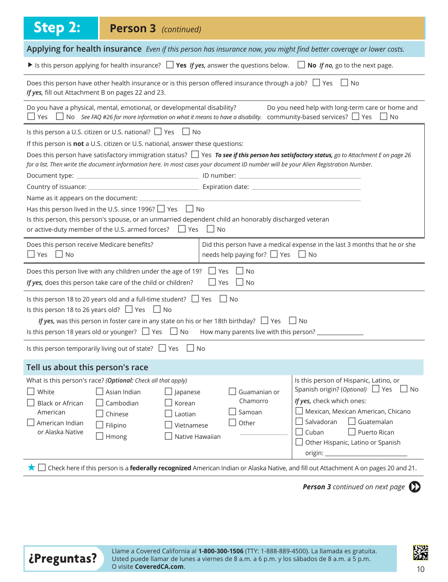| <b>Step 2:</b><br><b>Person 3</b> (continued)                                                                                                                                                                                                                                                                                                                                                                                                                                                                                                                                                                 |                                                                                                                                                                                                                                                                                                                                        |  |  |  |  |  |  |
|---------------------------------------------------------------------------------------------------------------------------------------------------------------------------------------------------------------------------------------------------------------------------------------------------------------------------------------------------------------------------------------------------------------------------------------------------------------------------------------------------------------------------------------------------------------------------------------------------------------|----------------------------------------------------------------------------------------------------------------------------------------------------------------------------------------------------------------------------------------------------------------------------------------------------------------------------------------|--|--|--|--|--|--|
| Applying for health insurance Even if this person has insurance now, you might find better coverage or lower costs.                                                                                                                                                                                                                                                                                                                                                                                                                                                                                           |                                                                                                                                                                                                                                                                                                                                        |  |  |  |  |  |  |
|                                                                                                                                                                                                                                                                                                                                                                                                                                                                                                                                                                                                               | If is this person applying for health insurance? $\Box$ Yes If yes, answer the questions below. $\Box$ No If no, go to the next page.                                                                                                                                                                                                  |  |  |  |  |  |  |
| Does this person have other health insurance or is this person offered insurance through a job? $\Box$ Yes $\Box$ No<br>If yes, fill out Attachment B on pages 22 and 23.                                                                                                                                                                                                                                                                                                                                                                                                                                     |                                                                                                                                                                                                                                                                                                                                        |  |  |  |  |  |  |
| Do you have a physical, mental, emotional, or developmental disability?                                                                                                                                                                                                                                                                                                                                                                                                                                                                                                                                       | Do you need help with long-term care or home and<br>$\Box$ Yes $\Box$ No See FAQ #26 for more information on what it means to have a disability. community-based services? $\Box$ Yes $\Box$ No                                                                                                                                        |  |  |  |  |  |  |
| Is this person a U.S. citizen or U.S. national? □ Yes □ No<br>If this person is not a U.S. citizen or U.S. national, answer these questions:<br>Does this person have satisfactory immigration status? Ves To see if this person has satisfactory status, go to Attachment E on page 26<br>for a list. Then write the document information here. In most cases your document ID number will be your Alien Registration Number.<br>Has this person lived in the U.S. since 1996? $\Box$ Yes $\Box$ No<br>Is this person, this person's spouse, or an unmarried dependent child an honorably discharged veteran |                                                                                                                                                                                                                                                                                                                                        |  |  |  |  |  |  |
| or active-duty member of the U.S. armed forces? $\Box$ Yes $\Box$ No<br>Does this person receive Medicare benefits?<br>$\Box$ Yes $\Box$ No                                                                                                                                                                                                                                                                                                                                                                                                                                                                   | Did this person have a medical expense in the last 3 months that he or she<br>needs help paying for? $\Box$ Yes $\Box$ No                                                                                                                                                                                                              |  |  |  |  |  |  |
| Does this person live with any children under the age of 19?<br>If yes, does this person take care of the child or children?                                                                                                                                                                                                                                                                                                                                                                                                                                                                                  | Yes<br>l INo<br>$\Box$ Yes $\Box$ No                                                                                                                                                                                                                                                                                                   |  |  |  |  |  |  |
| Is this person 18 to 20 years old and a full-time student? $\Box$ Yes $\Box$ No<br>Is this person 18 to 26 years old? $\Box$ Yes $\Box$ No<br>If yes, was this person in foster care in any state on his or her 18th birthday? $\Box$ Yes $\Box$ No<br>Is this person 18 years old or younger? $\Box$ Yes $\Box$ No How many parents live with this person?                                                                                                                                                                                                                                                   |                                                                                                                                                                                                                                                                                                                                        |  |  |  |  |  |  |
| Is this person temporarily living out of state? $\Box$ Yes                                                                                                                                                                                                                                                                                                                                                                                                                                                                                                                                                    | No                                                                                                                                                                                                                                                                                                                                     |  |  |  |  |  |  |
| Tell us about this person's race                                                                                                                                                                                                                                                                                                                                                                                                                                                                                                                                                                              |                                                                                                                                                                                                                                                                                                                                        |  |  |  |  |  |  |
| What is this person's race? (Optional: Check all that apply)<br>Asian Indian<br>White<br>$\Box$ Japanese<br>Cambodian<br><b>Black or African</b><br>Korean<br>American<br>Chinese<br>Laotian<br>American Indian<br>Filipino<br>Vietnamese<br>or Alaska Native<br>Hmong                                                                                                                                                                                                                                                                                                                                        | Is this person of Hispanic, Latino, or<br>Spanish origin? (Optional) □ Yes<br>l INo<br>Guamanian or<br>If yes, check which ones:<br>Chamorro<br>Mexican, Mexican American, Chicano<br>Samoan<br>Salvadoran<br>$\Box$ Guatemalan<br>Other<br>Cuban<br>Puerto Rican<br>Native Hawaiian<br>Other Hispanic, Latino or Spanish<br>origin: _ |  |  |  |  |  |  |
| Check here if this person is a federally recognized American Indian or Alaska Native, and fill out Attachment A on pages 20 and 21.<br>★││                                                                                                                                                                                                                                                                                                                                                                                                                                                                    |                                                                                                                                                                                                                                                                                                                                        |  |  |  |  |  |  |

**Person 3** continued on next page



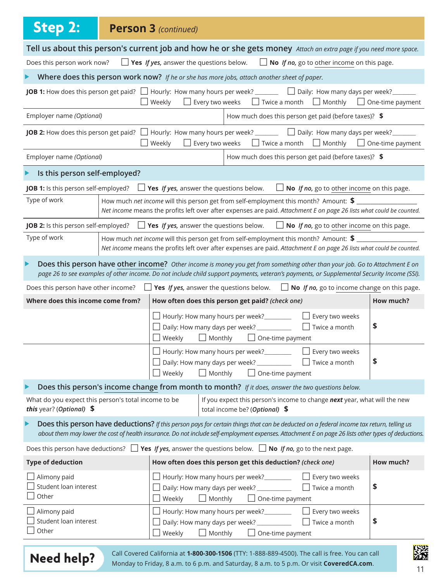| <b>Step 2:</b>                                                                                                                    |                                                                                                                                                                                                                                                                                                  | <b>Person 3 (continued)</b>                    |                                                                                                   |                                                                                                                                                                                                                                                                           |                         |  |  |
|-----------------------------------------------------------------------------------------------------------------------------------|--------------------------------------------------------------------------------------------------------------------------------------------------------------------------------------------------------------------------------------------------------------------------------------------------|------------------------------------------------|---------------------------------------------------------------------------------------------------|---------------------------------------------------------------------------------------------------------------------------------------------------------------------------------------------------------------------------------------------------------------------------|-------------------------|--|--|
|                                                                                                                                   | Tell us about this person's current job and how he or she gets money Attach an extra page if you need more space.                                                                                                                                                                                |                                                |                                                                                                   |                                                                                                                                                                                                                                                                           |                         |  |  |
| $\Box$ Yes If yes, answer the questions below.<br>Does this person work now?<br>$\Box$ No If no, go to other income on this page. |                                                                                                                                                                                                                                                                                                  |                                                |                                                                                                   |                                                                                                                                                                                                                                                                           |                         |  |  |
|                                                                                                                                   |                                                                                                                                                                                                                                                                                                  |                                                | Where does this person work now? If he or she has more jobs, attach another sheet of paper.       |                                                                                                                                                                                                                                                                           |                         |  |  |
|                                                                                                                                   |                                                                                                                                                                                                                                                                                                  | Weekly                                         | $\Box$ Every two weeks                                                                            | <b>JOB 1:</b> How does this person get paid? $\Box$ Hourly: How many hours per week? $\Box$ Daily: How many days per week?<br>$\Box$ Twice a month $\Box$ Monthly $\Box$ One-time payment                                                                                 |                         |  |  |
| Employer name (Optional)                                                                                                          |                                                                                                                                                                                                                                                                                                  |                                                |                                                                                                   | How much does this person get paid (before taxes)? \$                                                                                                                                                                                                                     |                         |  |  |
|                                                                                                                                   |                                                                                                                                                                                                                                                                                                  | Weekly                                         | Every two weeks                                                                                   | <b>JOB 2:</b> How does this person get paid? $\Box$ Hourly: How many hours per week? $\Box$ Daily: How many days per week?<br>$\Box$ Twice a month<br>$\Box$ Monthly                                                                                                      | $\Box$ One-time payment |  |  |
| Employer name (Optional)                                                                                                          |                                                                                                                                                                                                                                                                                                  |                                                |                                                                                                   | How much does this person get paid (before taxes)? \$                                                                                                                                                                                                                     |                         |  |  |
| Is this person self-employed?                                                                                                     |                                                                                                                                                                                                                                                                                                  |                                                |                                                                                                   |                                                                                                                                                                                                                                                                           |                         |  |  |
| JOB 1: Is this person self-employed?                                                                                              |                                                                                                                                                                                                                                                                                                  | $\Box$ Yes If yes, answer the questions below. |                                                                                                   | No If no, go to other income on this page.                                                                                                                                                                                                                                |                         |  |  |
| Type of work                                                                                                                      |                                                                                                                                                                                                                                                                                                  |                                                |                                                                                                   | How much net income will this person get from self-employment this month? Amount: \$<br>Net income means the profits left over after expenses are paid. Attachment E on page 26 lists what could be counted.                                                              |                         |  |  |
| JOB 2: Is this person self-employed?                                                                                              |                                                                                                                                                                                                                                                                                                  |                                                | $\Box$ Yes If yes, answer the questions below.                                                    | $\Box$ No If no, go to other income on this page.                                                                                                                                                                                                                         |                         |  |  |
| Type of work                                                                                                                      | How much net income will this person get from self-employment this month? Amount: \$<br>Net income means the profits left over after expenses are paid. Attachment E on page 26 lists what could be counted.                                                                                     |                                                |                                                                                                   |                                                                                                                                                                                                                                                                           |                         |  |  |
| ▶                                                                                                                                 |                                                                                                                                                                                                                                                                                                  |                                                |                                                                                                   | Does this person have other income? Other income is money you get from something other than your job. Go to Attachment E on<br>page 26 to see examples of other income. Do not include child support payments, veteran's payments, or Supplemental Security Income (SSI). |                         |  |  |
|                                                                                                                                   |                                                                                                                                                                                                                                                                                                  |                                                |                                                                                                   | Does this person have other income? $\Box$ Yes If yes, answer the questions below. $\Box$ No If no, go to income change on this page.                                                                                                                                     |                         |  |  |
| Where does this income come from?                                                                                                 |                                                                                                                                                                                                                                                                                                  |                                                | How often does this person get paid? (check one)                                                  |                                                                                                                                                                                                                                                                           | How much?               |  |  |
|                                                                                                                                   |                                                                                                                                                                                                                                                                                                  | Weekly                                         | Hourly: How many hours per week?<br>Daily: How many days per week? ____________<br>$\Box$ Monthly | Every two weeks<br>$\Box$ Twice a month<br>$\Box$ One-time payment                                                                                                                                                                                                        | \$                      |  |  |
|                                                                                                                                   |                                                                                                                                                                                                                                                                                                  | U Weekly                                       | Daily: How many days per week? ____________<br>$\Box$ Monthly                                     | □ Hourly: How many hours per week?<br>□ Every two weeks<br>$\Box$ Twice a month<br>$\Box$ One-time payment                                                                                                                                                                | \$                      |  |  |
| ▶                                                                                                                                 |                                                                                                                                                                                                                                                                                                  |                                                |                                                                                                   | Does this person's income change from month to month? If it does, answer the two questions below.                                                                                                                                                                         |                         |  |  |
| What do you expect this person's total income to be<br>this year? (Optional) \$                                                   |                                                                                                                                                                                                                                                                                                  |                                                | total income be? (Optional) \$                                                                    | If you expect this person's income to change next year, what will the new                                                                                                                                                                                                 |                         |  |  |
|                                                                                                                                   | Does this person have deductions? If this person pays for certain things that can be deducted on a federal income tax return, telling us<br>about them may lower the cost of health insurance. Do not include self-employment expenses. Attachment E on page 26 lists other types of deductions. |                                                |                                                                                                   |                                                                                                                                                                                                                                                                           |                         |  |  |
|                                                                                                                                   |                                                                                                                                                                                                                                                                                                  |                                                |                                                                                                   | Does this person have deductions? $\Box$ Yes If yes, answer the questions below. $\Box$ No If no, go to the next page.                                                                                                                                                    |                         |  |  |
| <b>Type of deduction</b>                                                                                                          |                                                                                                                                                                                                                                                                                                  |                                                | How often does this person get this deduction? (check one)                                        |                                                                                                                                                                                                                                                                           | How much?               |  |  |
| $\Box$ Alimony paid<br>Student loan interest<br>Other                                                                             |                                                                                                                                                                                                                                                                                                  | Weekly                                         | Hourly: How many hours per week?<br>Daily: How many days per week? ____________<br>$\Box$ Monthly | Every two weeks<br>Twice a month<br>$\Box$ One-time payment                                                                                                                                                                                                               | \$                      |  |  |
| $\Box$ Alimony paid<br>Student loan interest<br>Other                                                                             |                                                                                                                                                                                                                                                                                                  | Weekly                                         | Hourly: How many hours per week?<br>Daily: How many days per week? ____________<br>$\Box$ Monthly | Every two weeks<br>Twice a month<br>$\Box$ One-time payment                                                                                                                                                                                                               | \$                      |  |  |
|                                                                                                                                   |                                                                                                                                                                                                                                                                                                  |                                                |                                                                                                   |                                                                                                                                                                                                                                                                           | <b>TSS!</b>             |  |  |

| <b>Need help?</b> |  |  |
|-------------------|--|--|
|-------------------|--|--|

Call Covered California at **1-800-300-1506** (TTY: 1-888-889-4500). The call is free. You can call **New York of the Monday to Friday**, 8 a.m. to 6 p.m. and Saturday, 8 a.m. to 5 p.m. Or visit **CoveredCA.com**. 11

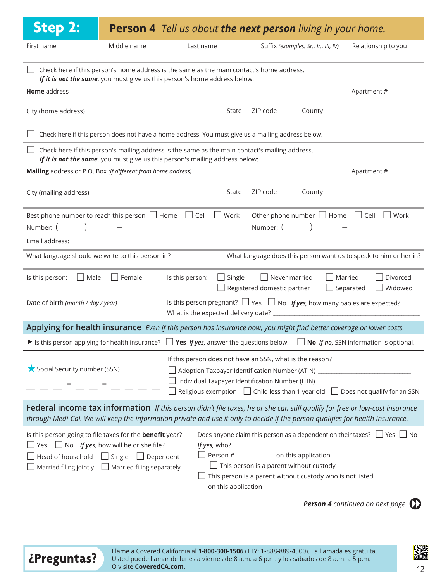| <b>Step 2:</b>                                                                                                                                                                                                                                                                                                                                                                                                                                                                                                            | <b>Person 4</b> Tell us about <b>the next person</b> living in your home.                                                                                                      |                                     |           |               |                                                          |                                                                                                                                                                      |                                                                                          |  |  |
|---------------------------------------------------------------------------------------------------------------------------------------------------------------------------------------------------------------------------------------------------------------------------------------------------------------------------------------------------------------------------------------------------------------------------------------------------------------------------------------------------------------------------|--------------------------------------------------------------------------------------------------------------------------------------------------------------------------------|-------------------------------------|-----------|---------------|----------------------------------------------------------|----------------------------------------------------------------------------------------------------------------------------------------------------------------------|------------------------------------------------------------------------------------------|--|--|
| First name                                                                                                                                                                                                                                                                                                                                                                                                                                                                                                                | Middle name                                                                                                                                                                    |                                     | Last name |               |                                                          | Suffix (examples: Sr., Jr., III, IV)                                                                                                                                 | Relationship to you                                                                      |  |  |
|                                                                                                                                                                                                                                                                                                                                                                                                                                                                                                                           | Check here if this person's home address is the same as the main contact's home address.<br>If it is not the same, you must give us this person's home address below:          |                                     |           |               |                                                          |                                                                                                                                                                      |                                                                                          |  |  |
| Home address                                                                                                                                                                                                                                                                                                                                                                                                                                                                                                              | Apartment#                                                                                                                                                                     |                                     |           |               |                                                          |                                                                                                                                                                      |                                                                                          |  |  |
| City (home address)                                                                                                                                                                                                                                                                                                                                                                                                                                                                                                       |                                                                                                                                                                                |                                     |           | State         | ZIP code                                                 | County                                                                                                                                                               |                                                                                          |  |  |
|                                                                                                                                                                                                                                                                                                                                                                                                                                                                                                                           | Check here if this person does not have a home address. You must give us a mailing address below.                                                                              |                                     |           |               |                                                          |                                                                                                                                                                      |                                                                                          |  |  |
|                                                                                                                                                                                                                                                                                                                                                                                                                                                                                                                           | Check here if this person's mailing address is the same as the main contact's mailing address.<br>If it is not the same, you must give us this person's mailing address below: |                                     |           |               |                                                          |                                                                                                                                                                      |                                                                                          |  |  |
| Mailing address or P.O. Box (if different from home address)                                                                                                                                                                                                                                                                                                                                                                                                                                                              |                                                                                                                                                                                |                                     |           |               |                                                          |                                                                                                                                                                      | Apartment#                                                                               |  |  |
| City (mailing address)                                                                                                                                                                                                                                                                                                                                                                                                                                                                                                    |                                                                                                                                                                                |                                     |           | State         | ZIP code                                                 | County                                                                                                                                                               |                                                                                          |  |  |
| Best phone number to reach this person $\Box$ Home $\Box$ Cell<br>Number: (                                                                                                                                                                                                                                                                                                                                                                                                                                               |                                                                                                                                                                                |                                     |           | $\Box$ Work   | Number: (                                                |                                                                                                                                                                      | Other phone number $\Box$ Home $\Box$ Cell $\Box$ Work                                   |  |  |
| Email address:                                                                                                                                                                                                                                                                                                                                                                                                                                                                                                            |                                                                                                                                                                                |                                     |           |               |                                                          |                                                                                                                                                                      |                                                                                          |  |  |
| What language should we write to this person in?                                                                                                                                                                                                                                                                                                                                                                                                                                                                          |                                                                                                                                                                                |                                     |           |               |                                                          |                                                                                                                                                                      | What language does this person want us to speak to him or her in?                        |  |  |
| Is this person:<br>$\Box$ Male                                                                                                                                                                                                                                                                                                                                                                                                                                                                                            | $\Box$ Female                                                                                                                                                                  | Is this person:                     |           | $\Box$ Single | $\Box$ Never married<br>Registered domestic partner      | Married<br>$\Box$ Separated                                                                                                                                          | Divorced<br>Widowed                                                                      |  |  |
| Date of birth (month / day / year)                                                                                                                                                                                                                                                                                                                                                                                                                                                                                        |                                                                                                                                                                                | What is the expected delivery date? |           |               |                                                          |                                                                                                                                                                      | Is this person pregnant? $\Box$ Yes $\Box$ No If yes, how many babies are expected?      |  |  |
| Applying for health insurance Even if this person has insurance now, you might find better coverage or lower costs.                                                                                                                                                                                                                                                                                                                                                                                                       |                                                                                                                                                                                |                                     |           |               |                                                          |                                                                                                                                                                      |                                                                                          |  |  |
| In It is this person applying for health insurance? $\Box$ Yes If yes, answer the questions below. $\Box$ No If no, SSN information is optional.                                                                                                                                                                                                                                                                                                                                                                          |                                                                                                                                                                                |                                     |           |               |                                                          |                                                                                                                                                                      |                                                                                          |  |  |
| Social Security number (SSN)                                                                                                                                                                                                                                                                                                                                                                                                                                                                                              |                                                                                                                                                                                |                                     |           |               | If this person does not have an SSN, what is the reason? | Adoption Taxpayer Identification Number (ATIN) _________________________________<br>Individual Taxpayer Identification Number (ITIN) _______________________________ | Religious exemption $\Box$ Child less than 1 year old $\Box$ Does not qualify for an SSN |  |  |
| Federal income tax information If this person didn't file taxes, he or she can still qualify for free or low-cost insurance<br>through Medi-Cal. We will keep the information private and use it only to decide if the person qualifies for health insurance.                                                                                                                                                                                                                                                             |                                                                                                                                                                                |                                     |           |               |                                                          |                                                                                                                                                                      |                                                                                          |  |  |
| Is this person going to file taxes for the <b>benefit</b> year?<br>Does anyone claim this person as a dependent on their taxes? $\Box$ Yes $\Box$ No<br>Yes $\Box$ No If yes, how will he or she file?<br>If yes, who?<br>$\Box$ Person # $\Box$ on this application<br>Head of household $\Box$ Single $\Box$ Dependent<br>$\Box$ This person is a parent without custody<br>Married filing jointly $\Box$ Married filing separately<br>This person is a parent without custody who is not listed<br>on this application |                                                                                                                                                                                |                                     |           |               |                                                          |                                                                                                                                                                      |                                                                                          |  |  |

**Person 4** continued on next page  $\Box$ 



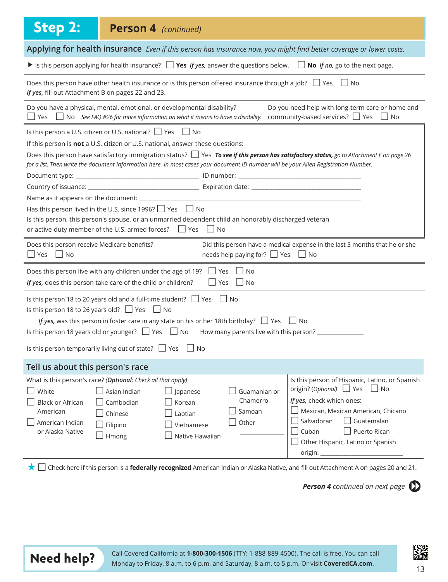| <b>Step 2:</b><br><b>Person 4</b> (continued)                                                                                                                                                                                                                                                                                                                                                                                                                                                                                                                                                                                                                                                   |  |  |  |  |  |  |  |
|-------------------------------------------------------------------------------------------------------------------------------------------------------------------------------------------------------------------------------------------------------------------------------------------------------------------------------------------------------------------------------------------------------------------------------------------------------------------------------------------------------------------------------------------------------------------------------------------------------------------------------------------------------------------------------------------------|--|--|--|--|--|--|--|
| Applying for health insurance Even if this person has insurance now, you might find better coverage or lower costs.                                                                                                                                                                                                                                                                                                                                                                                                                                                                                                                                                                             |  |  |  |  |  |  |  |
| If its this person applying for health insurance? $\Box$ Yes <i>If yes</i> , answer the questions below. $\Box$ No <i>If no</i> , go to the next page.                                                                                                                                                                                                                                                                                                                                                                                                                                                                                                                                          |  |  |  |  |  |  |  |
| Does this person have other health insurance or is this person offered insurance through a job? $\Box$ Yes $\Box$ No<br>If yes, fill out Attachment B on pages 22 and 23.                                                                                                                                                                                                                                                                                                                                                                                                                                                                                                                       |  |  |  |  |  |  |  |
| Do you have a physical, mental, emotional, or developmental disability?<br>Do you need help with long-term care or home and<br>Thes $\Box$ No See FAQ #26 for more information on what it means to have a disability. community-based services? $\Box$ Yes $\Box$ No                                                                                                                                                                                                                                                                                                                                                                                                                            |  |  |  |  |  |  |  |
| Is this person a U.S. citizen or U.S. national? $\Box$ Yes $\Box$ No<br>If this person is not a U.S. citizen or U.S. national, answer these questions:<br>Does this person have satisfactory immigration status? Ves To see if this person has satisfactory status, go to Attachment E on page 26<br>for a list. Then write the document information here. In most cases your document ID number will be your Alien Registration Number.<br>Has this person lived in the U.S. since 1996? $\Box$ Yes $\Box$ No<br>Is this person, this person's spouse, or an unmarried dependent child an honorably discharged veteran<br>or active-duty member of the U.S. armed forces? $\Box$ Yes $\Box$ No |  |  |  |  |  |  |  |
| Did this person have a medical expense in the last 3 months that he or she<br>Does this person receive Medicare benefits?<br>$\Box$ Yes $\Box$ No<br>needs help paying for? $\Box$ Yes $\Box$ No                                                                                                                                                                                                                                                                                                                                                                                                                                                                                                |  |  |  |  |  |  |  |
| Does this person live with any children under the age of 19? $\Box$ Yes<br>l INo<br>If yes, does this person take care of the child or children?<br>    Yes     No                                                                                                                                                                                                                                                                                                                                                                                                                                                                                                                              |  |  |  |  |  |  |  |
| Is this person 18 to 20 years old and a full-time student? $\Box$ Yes $\Box$ No<br>Is this person 18 to 26 years old? $\Box$ Yes $\Box$ No<br>If yes, was this person in foster care in any state on his or her 18th birthday? $\Box$ Yes $\Box$ No<br>Is this person 18 years old or younger? $\Box$ Yes $\Box$ No How many parents live with this person?                                                                                                                                                                                                                                                                                                                                     |  |  |  |  |  |  |  |
| Is this person temporarily living out of state? $\Box$ Yes<br>  No                                                                                                                                                                                                                                                                                                                                                                                                                                                                                                                                                                                                                              |  |  |  |  |  |  |  |
| Tell us about this person's race                                                                                                                                                                                                                                                                                                                                                                                                                                                                                                                                                                                                                                                                |  |  |  |  |  |  |  |
| What is this person's race? (Optional: Check all that apply)<br>Is this person of Hispanic, Latino, or Spanish<br>origin? (Optional) $\Box$ Yes<br>$\Box$ No<br>White<br>Asian Indian<br>Guamanian or<br>$\rfloor$ Japanese<br>If yes, check which ones:<br>Chamorro<br><b>Black or African</b><br>Cambodian<br>Korean<br>Mexican, Mexican American, Chicano<br>Samoan<br>American<br>Chinese<br>Laotian<br>Guatemalan<br>Salvadoran<br>Other<br>American Indian<br>Filipino<br>Vietnamese<br>Cuban<br>Puerto Rican<br>or Alaska Native<br>Native Hawaiian<br>Hmong<br>Other Hispanic, Latino or Spanish<br>origin: _                                                                           |  |  |  |  |  |  |  |
| ★ □ Check here if this person is a <b>federally recognized</b> American Indian or Alaska Native, and fill out Attachment A on pages 20 and 21.                                                                                                                                                                                                                                                                                                                                                                                                                                                                                                                                                  |  |  |  |  |  |  |  |

**Person 4** continued on next page  $\Box$ 

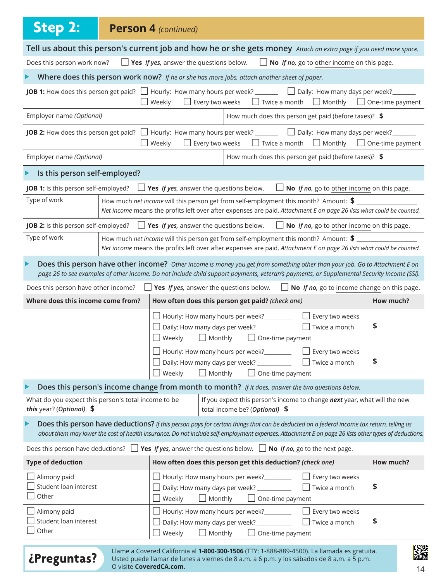| <b>Step 2:</b>                                                                                                                    | <b>Person 4 (continued)</b>                                                                                                                                                                                                                                                                      |                        |                                                                                          |                         |                                                                                                                                  |                         |
|-----------------------------------------------------------------------------------------------------------------------------------|--------------------------------------------------------------------------------------------------------------------------------------------------------------------------------------------------------------------------------------------------------------------------------------------------|------------------------|------------------------------------------------------------------------------------------|-------------------------|----------------------------------------------------------------------------------------------------------------------------------|-------------------------|
| Tell us about this person's current job and how he or she gets money Attach an extra page if you need more space.                 |                                                                                                                                                                                                                                                                                                  |                        |                                                                                          |                         |                                                                                                                                  |                         |
| $\Box$ Yes If yes, answer the questions below.<br>Does this person work now?<br>$\Box$ No If no, go to other income on this page. |                                                                                                                                                                                                                                                                                                  |                        |                                                                                          |                         |                                                                                                                                  |                         |
|                                                                                                                                   | Where does this person work now? If he or she has more jobs, attach another sheet of paper.                                                                                                                                                                                                      |                        |                                                                                          |                         |                                                                                                                                  |                         |
|                                                                                                                                   | JOB 1: How does this person get paid? $\Box$ Hourly: How many hours per week? _______ $\Box$ Daily: How many days per week? ______<br>$\Box$ Weekly                                                                                                                                              | $\Box$ Every two weeks |                                                                                          |                         | $\Box$ Twice a month $\Box$ Monthly $\Box$ One-time payment                                                                      |                         |
| Employer name (Optional)                                                                                                          |                                                                                                                                                                                                                                                                                                  |                        |                                                                                          |                         | How much does this person get paid (before taxes)? \$                                                                            |                         |
|                                                                                                                                   | <b>JOB 2:</b> How does this person get paid? $\Box$ Hourly: How many hours per week? $\Box$ Daily: How many days per week?<br>Weekly<br>$\Box$                                                                                                                                                   | Every two weeks        |                                                                                          | $\Box$ Twice a month    | $\Box$ Monthly                                                                                                                   | $\Box$ One-time payment |
| Employer name (Optional)                                                                                                          |                                                                                                                                                                                                                                                                                                  |                        |                                                                                          |                         | How much does this person get paid (before taxes)? \$                                                                            |                         |
| Is this person self-employed?                                                                                                     |                                                                                                                                                                                                                                                                                                  |                        |                                                                                          |                         |                                                                                                                                  |                         |
| JOB 1: Is this person self-employed?                                                                                              | Yes If yes, answer the questions below.                                                                                                                                                                                                                                                          |                        |                                                                                          |                         | No If no, go to other income on this page.                                                                                       |                         |
| Type of work                                                                                                                      | How much net income will this person get from self-employment this month? Amount: \$<br>Net income means the profits left over after expenses are paid. Attachment E on page 26 lists what could be counted.                                                                                     |                        |                                                                                          |                         |                                                                                                                                  |                         |
| JOB 2: Is this person self-employed?                                                                                              |                                                                                                                                                                                                                                                                                                  |                        |                                                                                          |                         | <b>Solution Yes</b> <i>If yes</i> , answer the questions below. $\Box$ <b>No</b> <i>If no</i> , go to other income on this page. |                         |
| Type of work                                                                                                                      | How much net income will this person get from self-employment this month? Amount: \$<br>Net income means the profits left over after expenses are paid. Attachment E on page 26 lists what could be counted.                                                                                     |                        |                                                                                          |                         |                                                                                                                                  |                         |
|                                                                                                                                   | Does this person have other income? Other income is money you get from something other than your job. Go to Attachment E on<br>page 26 to see examples of other income. Do not include child support payments, veteran's payments, or Supplemental Security Income (SSI).                        |                        |                                                                                          |                         |                                                                                                                                  |                         |
|                                                                                                                                   | Does this person have other income? $\Box$ Yes If yes, answer the questions below. $\Box$ No If no, go to income change on this page.                                                                                                                                                            |                        |                                                                                          |                         |                                                                                                                                  |                         |
| Where does this income come from?                                                                                                 |                                                                                                                                                                                                                                                                                                  |                        | How often does this person get paid? (check one)                                         |                         |                                                                                                                                  | How much?               |
|                                                                                                                                   | Weekly                                                                                                                                                                                                                                                                                           | $\Box$ Monthly         | Hourly: How many hours per week?<br>Daily: How many days per week? ____________          | $\Box$ One-time payment | Every two weeks<br>$\Box$ Twice a month                                                                                          | \$                      |
|                                                                                                                                   | Weekly                                                                                                                                                                                                                                                                                           | $\Box$ Monthly         |                                                                                          | $\Box$ One-time payment | □ Hourly: How many hours per week?<br>□ Every two weeks                                                                          | \$                      |
|                                                                                                                                   | Does this person's income change from month to month? If it does, answer the two questions below.                                                                                                                                                                                                |                        |                                                                                          |                         |                                                                                                                                  |                         |
| this year? (Optional) $$$                                                                                                         | What do you expect this person's total income to be                                                                                                                                                                                                                                              |                        | total income be? (Optional) \$                                                           |                         | If you expect this person's income to change next year, what will the new                                                        |                         |
|                                                                                                                                   | Does this person have deductions? If this person pays for certain things that can be deducted on a federal income tax return, telling us<br>about them may lower the cost of health insurance. Do not include self-employment expenses. Attachment E on page 26 lists other types of deductions. |                        |                                                                                          |                         |                                                                                                                                  |                         |
|                                                                                                                                   | Does this person have deductions? $\Box$ Yes <i>If yes</i> , answer the questions below. $\Box$ No <i>If no</i> , go to the next page.                                                                                                                                                           |                        |                                                                                          |                         |                                                                                                                                  |                         |
| <b>Type of deduction</b>                                                                                                          |                                                                                                                                                                                                                                                                                                  |                        | How often does this person get this deduction? (check one)                               |                         |                                                                                                                                  | How much?               |
| Alimony paid<br>Student loan interest<br>Other                                                                                    | Weekly                                                                                                                                                                                                                                                                                           | $\Box$ Monthly         | Hourly: How many hours per week?_________<br>Daily: How many days per week? ____________ | $\Box$ One-time payment | Every two weeks<br>$\Box$ Twice a month                                                                                          | \$                      |
| Alimony paid<br>Student loan interest<br>Other                                                                                    | Weekly                                                                                                                                                                                                                                                                                           | $\Box$ Monthly         | Hourly: How many hours per week?<br>Daily: How many days per week? ____________          | One-time payment        | Every two weeks<br>Twice a month                                                                                                 | \$                      |
|                                                                                                                                   | Llame a Covered California al <b>1-800-300-1506</b> (TTY: 1-888-889-4500). La llamada es gratuita                                                                                                                                                                                                |                        |                                                                                          |                         |                                                                                                                                  | p.                      |

Llame a Covered California al **1-800-300-1506** (TTY: 1-888-889-4500). La llamada es gratuita.<br>Usted puede llamar de lunes a viernes de 8 a.m. a 6 p.m. y los sábados de 8 a.m. a 5 p.m. O visite **CoveredCA.com**.

ķМ  $14$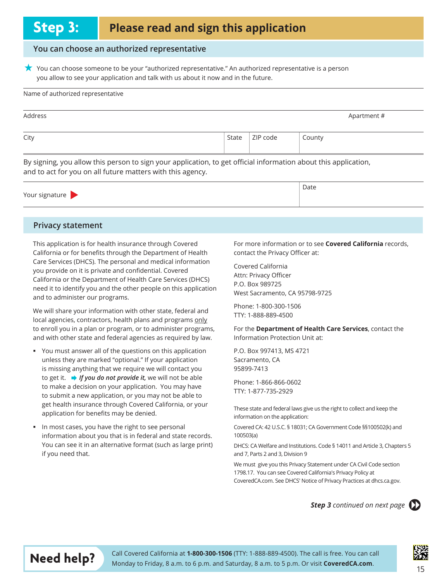#### **You can choose an authorized representative**

 $\star$  You can choose someone to be your "authorized representative." An authorized representative is a person you allow to see your application and talk with us about it now and in the future.

#### Name of authorized representative

| Address |                    |        | Apartment # |
|---------|--------------------|--------|-------------|
| City    | State $ $ ZIP code | County |             |

By signing, you allow this person to sign your application, to get official information about this application, and to act for you on all future matters with this agency.

|                | Date |  |
|----------------|------|--|
| Your signature |      |  |

#### **Privacy statement**

This application is for health insurance through Covered California or for benefits through the Department of Health Care Services (DHCS). The personal and medical information you provide on it is private and confidential. Covered California or the Department of Health Care Services (DHCS) need it to identify you and the other people on this application and to administer our programs.

We will share your information with other state, federal and local agencies, contractors, health plans and programs only to enroll you in a plan or program, or to administer programs, and with other state and federal agencies as required by law.

- Vou must answer all of the questions on this application unless they are marked "optional." If your application is missing anything that we require we will contact you to get it.  $\rightarrow$  If you do not provide it, we will not be able to make a decision on your application. You may have to submit a new application, or you may not be able to get health insurance through Covered California, or your application for benefits may be denied.
- In most cases, you have the right to see personal information about you that is in federal and state records. You can see it in an alternative format (such as large print) if you need that.

For more information or to see **Covered California** records, contact the Privacy Officer at:

Covered California Attn: Privacy Officer P.O. Box 989725 West Sacramento, CA 95798-9725

Phone: 1-800-300-1506 TTY: 1-888-889-4500

For the Department of Health Care Services, contact the Information Protection Unit at:

P.O. Box 997413, MS 4721 Sacramento, CA 95899-7413

Phone: 1-866-866-0602 TTY: 1-877-735-2929

These state and federal laws give us the right to collect and keep the information on the application:

Covered CA: 42 U.S.C. § 18031; CA Government Code §§100502(k) and  $100503(a)$ 

DHCS: CA Welfare and Institutions. Code § 14011 and Article 3, Chapters 5 and 7, Parts 2 and 3, Division 9

We must give you this Privacy Statement under CA Civil Code section 1798.17. You can see Covered California's Privacy Policy at CoveredCA.com. See DHCS' Notice of Privacy Practices at dhcs.ca.gov.

**Step 3** continued on next page  $\Box$ 





**Need help?** Call Covered California at 1-800-300-1506 (TTY: 1-888-889-4500). The call is free. You can call Monday to Friday, 8 a.m. to 6 p.m. and Saturday, 8 a.m. to 5 p.m. Or visit **CoveredCA.com.** 15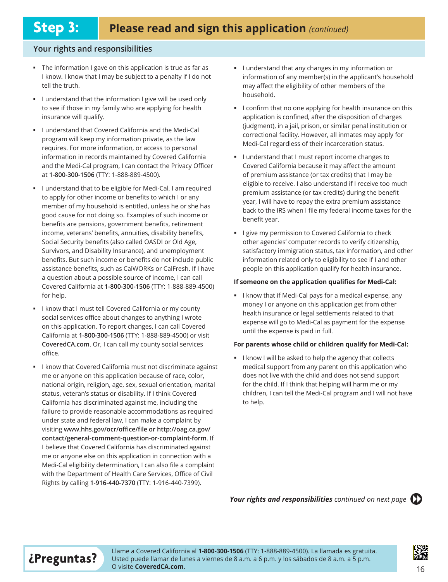#### Your rights and responsibilities

- The information I gave on this application is true as far as I know. I know that I may be subject to a penalty if I do not tell the truth.
- I understand that the information I give will be used only to see if those in my family who are applying for health insurance will qualify.
- I understand that Covered California and the Medi-Cal program will keep my information private, as the law requires. For more information, or access to personal information in records maintained by Covered California and the Medi-Cal program, I can contact the Privacy Officer at 1-800-300-1506 (TTY: 1-888-889-4500).
- I understand that to be eligible for Medi-Cal, I am required to apply for other income or benefits to which I or any member of my household is entitled, unless he or she has good cause for not doing so. Examples of such income or benefits are pensions, government benefits, retirement income, veterans' benefits, annuities, disability benefits, Social Security benefits (also called OASDI or Old Age, Survivors, and Disability Insurance), and unemployment benefits. But such income or benefits do not include public assistance benefits, such as CalWORKs or CalFresh. If I have a question about a possible source of income, I can call Covered California at 1-800-300-1506 (TTY: 1-888-889-4500) for help.
- I know that I must tell Covered California or my county social services office about changes to anything I wrote on this application. To report changes, I can call Covered California at 1-800-300-1506 (TTY: 1-888-889-4500) or visit **CoveredCA.com.** Or, I can call my county social services office.
- I know that Covered California must not discriminate against me or anyone on this application because of race, color, national origin, religion, age, sex, sexual orientation, marital status, veteran's status or disability. If I think Covered California has discriminated against me, including the failure to provide reasonable accommodations as required under state and federal law, I can make a complaint by visiting www.hhs.gov/ocr/office/file or http://oag.ca.gov/ **contact/general-comment-question-or-complaint-form.** If I believe that Covered California has discriminated against me or anyone else on this application in connection with a Medi-Cal eligibility determination, I can also file a complaint with the Department of Health Care Services, Office of Civil Rights by calling 1-916-440-7370 (TTY: 1-916-440-7399).
- $\blacksquare$  I understand that any changes in my information or information of any member(s) in the applicant's household may affect the eligibility of other members of the household.
- I confirm that no one applying for health insurance on this application is confined, after the disposition of charges (judgment), in a jail, prison, or similar penal institution or correctional facility. However, all inmates may apply for Medi-Cal regardless of their incarceration status.
- I understand that I must report income changes to Covered California because it may affect the amount of premium assistance (or tax credits) that I may be eligible to receive. I also understand if I receive too much premium assistance (or tax credits) during the benefit year, I will have to repay the extra premium assistance back to the IRS when I file my federal income taxes for the benefit year.
- I give my permission to Covered California to check other agencies' computer records to verify citizenship, satisfactory immigration status, tax information, and other information related only to eligibility to see if I and other people on this application qualify for health insurance.

#### **If someone on the application qualifies for Medi-Cal:**

I know that if Medi-Cal pays for a medical expense, any money I or anyone on this application get from other health insurance or legal settlements related to that expense will go to Medi-Cal as payment for the expense until the expense is paid in full.

#### **For parents whose child or children qualify for Medi-Cal:**

I know I will be asked to help the agency that collects medical support from any parent on this application who does not live with the child and does not send support for the child. If I think that helping will harm me or my children, I can tell the Medi-Cal program and I will not have to help.

#### **Your rights and responsibilities** continued on next page  $\Box$



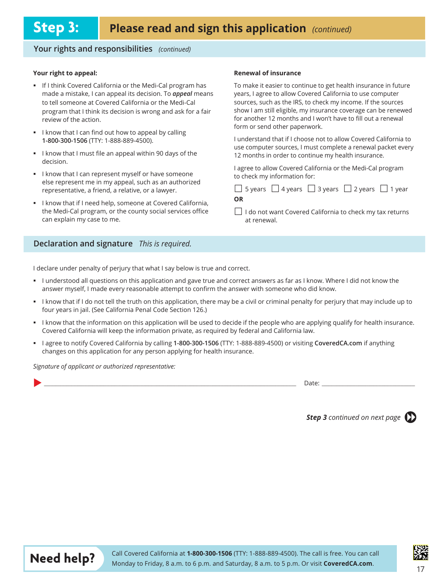#### Your rights and responsibilities (continued)

#### **Your right to appeal:**

- If I think Covered California or the Medi-Cal program has made a mistake, I can appeal its decision. To *appeal* means to tell someone at Covered California or the Medi-Cal program that I think its decision is wrong and ask for a fair review of the action.
- I know that I can find out how to appeal by calling 1-800-300-1506 (TTY: 1-888-889-4500).
- I know that I must file an appeal within 90 days of the decision.
- I know that I can represent myself or have someone else represent me in my appeal, such as an authorized representative, a friend, a relative, or a lawyer.
- I I know that if I need help, someone at Covered California, the Medi-Cal program, or the county social services office can explain my case to me.

#### Declaration and signature *This is required.*

I declare under penalty of perjury that what I say below is true and correct.

- I understood all questions on this application and gave true and correct answers as far as I know. Where I did not know the answer myself, I made every reasonable attempt to confirm the answer with someone who did know.
- I know that if I do not tell the truth on this application, there may be a civil or criminal penalty for perjury that may include up to four years in jail. (See California Penal Code Section 126.)

**OR**

at renewal.

- I know that the information on this application will be used to decide if the people who are applying qualify for health insurance. Covered California will keep the information private, as required by federal and California law.
- I agree to notify Covered California by calling 1-800-300-1506 (TTY: 1-888-889-4500) or visiting CoveredCA.com if anything changes on this application for any person applying for health insurance.

*Signature of applicant or authorized representative:* 

X *\_\_\_\_\_\_\_\_\_\_\_\_\_\_\_\_\_\_\_\_\_\_\_\_\_\_\_\_\_\_\_\_\_\_\_\_\_\_\_\_\_\_\_\_\_\_\_\_\_\_\_\_\_\_\_\_\_\_\_\_\_\_\_\_\_\_\_\_\_\_\_\_\_\_\_\_\_\_\_\_\_\_\_\_\_\_\_\_\_\_\_\_\_\_\_\_\_\_\_\_\_\_\_\_\_\_\_\_\_\_\_\_\_\_\_\_\_\_\_\_\_\_\_\_\_\_\_\_\_\_\_\_\_\_\_\_\_\_\_\_\_\_\_\_\_\_\_\_\_\_\_\_\_\_\_\_\_* 'DWH *\_\_\_\_\_\_\_\_\_\_\_\_\_\_\_\_\_\_\_\_\_\_\_\_\_\_\_\_\_\_\_\_\_\_\_\_\_\_\_\_\_\_\_\_\_\_\_\_\_\_\_\_\_\_\_\_\_\_*

**Step 3** continued on next page





#### **Renewal of insurance**

To make it easier to continue to get health insurance in future years, I agree to allow Covered California to use computer sources, such as the IRS, to check my income. If the sources show I am still eligible, my insurance coverage can be renewed for another 12 months and I won't have to fill out a renewal form or send other paperwork.

I understand that if I choose not to allow Covered California to use computer sources, I must complete a renewal packet every 12 months in order to continue my health insurance.

I agree to allow Covered California or the Medi-Cal program to check my information for:

 $\Box$  5 years  $\Box$  4 years  $\Box$  3 years  $\Box$  2 years  $\Box$  1 year

 $□$  I do not want Covered California to check my tax returns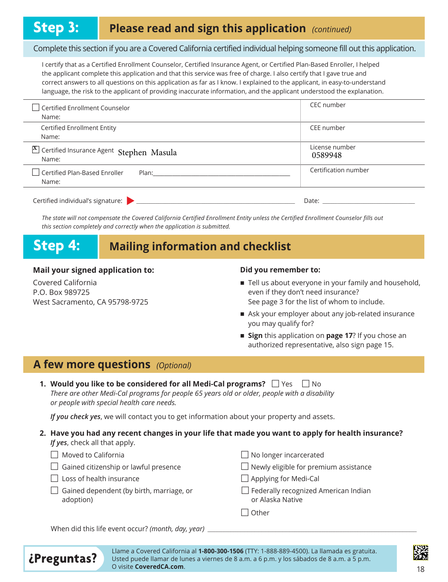#### Complete this section if you are a Covered California certified individual helping someone fill out this application.

I certify that as a Certified Enrollment Counselor, Certified Insurance Agent, or Certified Plan-Based Enroller, I helped the applicant complete this application and that this service was free of charge. I also certify that I gave true and correct answers to all questions on this application as far as I know. I explained to the applicant, in easy-to-understand language, the risk to the applicant of providing inaccurate information, and the applicant understood the explanation.

| Certified Enrollment Counselor<br>Name:                                                                                                                                                                                                                                         | CEC number                |
|---------------------------------------------------------------------------------------------------------------------------------------------------------------------------------------------------------------------------------------------------------------------------------|---------------------------|
| Certified Enrollment Entity<br>Name:                                                                                                                                                                                                                                            | CEE number                |
| X Certified Insurance Agent Stephen Masula<br>Name:                                                                                                                                                                                                                             | License number<br>0589948 |
| $\Box$ Certified Plan-Based Enroller<br>Plan: The contract of the contract of the contract of the contract of the contract of the contract of the contract of the contract of the contract of the contract of the contract of the contract of the contract of the cont<br>Name: | Certification number      |
| Certified individual's signature:                                                                                                                                                                                                                                               | Date:                     |

The state will not compensate the Covered California Certified Enrollment Entity unless the Certified Enrollment Counselor fills out this section completely and correctly when the application is submitted.

## **Step 4: Mailing information and checklist**

#### **Mail your signed application to:**

Covered California P.O. Box 989725 West Sacramento, CA 95798-9725

#### **Did you remember to:**

- $\blacksquare$  Tell us about everyone in your family and household, even if they don't need insurance? See page 3 for the list of whom to include.
- $\blacksquare$  Ask your employer about any job-related insurance you may qualify for?
- Sign this application on page 17? If you chose an authorized representative, also sign page 15.

### **A few more questions** (Optional)

| 1. Would you like to be considered for all Medi-Cal programs? $\Box$ Yes $\Box$ No           |
|----------------------------------------------------------------------------------------------|
| There are other Medi-Cal programs for people 65 years old or older, people with a disability |
| or people with special health care needs.                                                    |

*If you check yes*, we will contact you to get information about your property and assets.

#### **2. Have you had any recent changes in your life that made you want to apply for health insurance?** *If yes*, check all that apply.

| $\Box$ Moved to California |  |
|----------------------------|--|
|----------------------------|--|

- $\Box$  Gained citizenship or lawful presence
- $\vert \ \vert$  Loss of health insurance
- $\Box$  Gained dependent (by birth, marriage, or adoption)

| $\Box$ Newly eligible for premium assistance                    |
|-----------------------------------------------------------------|
| $\Box$ Applying for Medi-Cal                                    |
| $\Box$ Federally recognized American Indian<br>or Alaska Native |
| $\vert$ $\vert$ Other                                           |

 $\Box$  No longer incarcerated

When did this life event occur? (month, day, year)



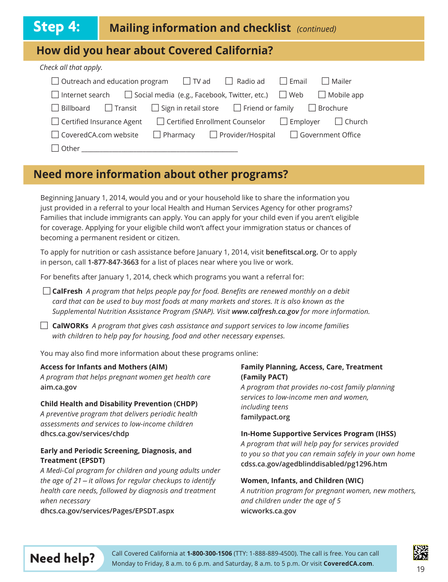| Step 4:                                    | <b>Mailing information and checklist</b> (continued)                                              |  |  |
|--------------------------------------------|---------------------------------------------------------------------------------------------------|--|--|
| How did you hear about Covered California? |                                                                                                   |  |  |
| Check all that apply.                      |                                                                                                   |  |  |
|                                            | Outreach and education program $\Box$ TV ad $\Box$<br>Radio ad<br>$\Box$ Email<br>$\Box$ Mailer   |  |  |
| Internet search                            | $\Box$ Social media (e.g., Facebook, Twitter, etc.) $\Box$ Web<br>$\Box$ Mobile app               |  |  |
| Billboard                                  | $\Box$ Sign in retail store $\Box$ Friend or family<br>$\Box$ Transit<br>$\Box$ Brochure          |  |  |
|                                            | □ Certified Enrollment Counselor<br>Certified Insurance Agent<br>$\Box$ Employer<br>$\Box$ Church |  |  |
|                                            | CoveredCA.com website<br>$\Box$ Provider/Hospital<br>□ Government Office<br>$\Box$ Pharmacy       |  |  |
| Other                                      |                                                                                                   |  |  |

### **Need more information about other programs?**

Beginning January 1, 2014, would you and or your household like to share the information you just provided in a referral to your local Health and Human Services Agency for other programs? Families that include immigrants can apply. You can apply for your child even if you aren't eligible for coverage. Applying for your eligible child won't affect your immigration status or chances of becoming a permanent resident or citizen.

To apply for nutrition or cash assistance before January 1, 2014, visit benefitscal.org. Or to apply in person, call 1-877-847-3663 for a list of places near where you live or work.

For benefits after January 1, 2014, check which programs you want a referral for:

□ CalFresh *A program that helps people pay for food. Benefits are renewed monthly on a debit Ford that can be used to buy most foods at many markets and stores. It is also known as the* Supplemental Nutrition Assistance Program (SNAP). Visit www.calfresh.ca.gov for more information.

 $\Box$  **CalWORKs** *A program that gives cash assistance and support services to low income families* with children to help pay for housing, food and other necessary expenses.

You may also find more information about these programs online:

#### **Access for Infants and Mothers (AIM)**

A program that helps pregnant women get health care aim.ca.gov

#### **Child Health and Disability Prevention (CHDP)**

A preventive program that delivers periodic health assessments and services to low-income children dhcs.ca.gov/services/chdp

#### **Early and Periodic Screening, Diagnosis, and Treatment (EPSDT)**

A Medi-Cal program for children and young adults under *the age of 21 – it allows for regular checkups to identify health care needs, followed by diagnosis and treatment when necessary* 

dhcs.ca.gov/services/Pages/EPSDT.aspx

#### **Family Planning, Access, Care, Treatment (Family PACT)**

A program that provides no-cost family planning services to low-income men and women, *lncluding teens* familypact.org

#### **In-Home Supportive Services Program (IHSS)**

A program that will help pay for services provided to you so that you can remain safely in your own home cdss.ca.gov/agedblinddisabled/pg1296.htm

#### **Women, Infants, and Children (WIC)**

A nutrition program for pregnant women, new mothers, and children under the age of 5 wicworks.ca.gov



**Need help?** Call Covered California at 1-800-300-1506 (TTY: 1-888-889-4500). The call is free. You can call Monday to Friday, 8 a.m. to 6 p.m. and Saturday, 8 a.m. to 5 p.m. Or visit **CoveredCA.com**.

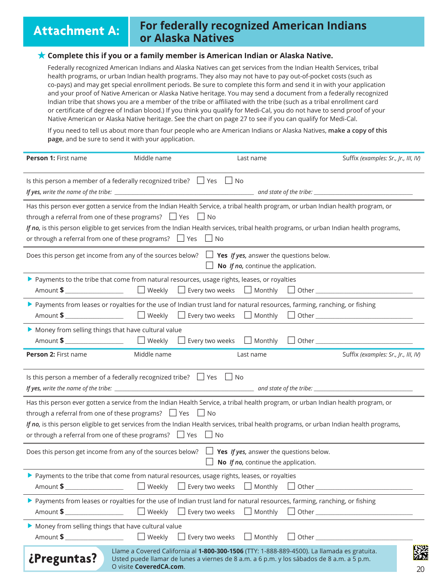### **Attachment A: For federally recognized American Indians or Alaska Natives**

#### **Complete this if you or a family member is American Indian or Alaska Native.**

Federally recognized American Indians and Alaska Natives can get services from the Indian Health Services, tribal health programs, or urban Indian health programs. They also may not have to pay out-of-pocket costs (such as co-pays) and may get special enrollment periods. Be sure to complete this form and send it in with your application and your proof of Native American or Alaska Native heritage. You may send a document from a federally recognized Indian tribe that shows you are a member of the tribe or affiliated with the tribe (such as a tribal enrollment card or certificate of degree of Indian blood.) If you think you qualify for Medi-Cal, you do not have to send proof of your Native American or Alaska Native heritage. See the chart on page 27 to see if you can qualify for Medi-Cal.

If you need to tell us about more than four people who are American Indians or Alaska Natives, make a copy of this page, and be sure to send it with your application.

| Person 1: First name                                                                                                                          | Middle name             | Last name                                                                                                                                                                                | Suffix (examples: Sr., Jr., III, IV)                                                                                                                                                                                                                                          |
|-----------------------------------------------------------------------------------------------------------------------------------------------|-------------------------|------------------------------------------------------------------------------------------------------------------------------------------------------------------------------------------|-------------------------------------------------------------------------------------------------------------------------------------------------------------------------------------------------------------------------------------------------------------------------------|
| Is this person a member of a federally recognized tribe? $\Box$ Yes $\Box$ No                                                                 |                         |                                                                                                                                                                                          |                                                                                                                                                                                                                                                                               |
| through a referral from one of these programs? $\Box$ Yes $\Box$ No<br>or through a referral from one of these programs? $\Box$ Yes $\Box$ No |                         |                                                                                                                                                                                          | Has this person ever gotten a service from the Indian Health Service, a tribal health program, or urban Indian health program, or<br>If no, is this person eligible to get services from the Indian Health services, tribal health programs, or urban Indian health programs, |
|                                                                                                                                               |                         | Does this person get income from any of the sources below? $\Box$ Yes If yes, answer the questions below.<br>$\Box$ <b>No</b> <i>If no</i> , continue the application.                   |                                                                                                                                                                                                                                                                               |
|                                                                                                                                               |                         | > Payments to the tribe that come from natural resources, usage rights, leases, or royalties                                                                                             |                                                                                                                                                                                                                                                                               |
|                                                                                                                                               |                         | > Payments from leases or royalties for the use of Indian trust land for natural resources, farming, ranching, or fishing                                                                |                                                                                                                                                                                                                                                                               |
| Money from selling things that have cultural value                                                                                            |                         |                                                                                                                                                                                          |                                                                                                                                                                                                                                                                               |
| Person 2: First name                                                                                                                          | Middle name             | Last name                                                                                                                                                                                | Suffix (examples: Sr., Jr., III, IV)                                                                                                                                                                                                                                          |
| Is this person a member of a federally recognized tribe? $\Box$ Yes $\Box$ No                                                                 |                         |                                                                                                                                                                                          |                                                                                                                                                                                                                                                                               |
| through a referral from one of these programs? $\Box$ Yes $\Box$ No<br>or through a referral from one of these programs? $\Box$ Yes $\Box$ No |                         |                                                                                                                                                                                          | Has this person ever gotten a service from the Indian Health Service, a tribal health program, or urban Indian health program, or<br>If no, is this person eligible to get services from the Indian Health services, tribal health programs, or urban Indian health programs, |
|                                                                                                                                               |                         | Does this person get income from any of the sources below? $\Box$ Yes <i>If yes</i> , answer the questions below.<br>No If no, continue the application.                                 |                                                                                                                                                                                                                                                                               |
| Amount \$                                                                                                                                     |                         | > Payments to the tribe that come from natural resources, usage rights, leases, or royalties                                                                                             |                                                                                                                                                                                                                                                                               |
|                                                                                                                                               |                         | ▶ Payments from leases or royalties for the use of Indian trust land for natural resources, farming, ranching, or fishing                                                                | □ Weekly □ Every two weeks □ Monthly □ Other ___________________________________                                                                                                                                                                                              |
| Money from selling things that have cultural value<br>Amount \$                                                                               |                         | $\Box$ Weekly $\Box$ Every two weeks $\Box$ Monthly                                                                                                                                      | $\Box$ Other                                                                                                                                                                                                                                                                  |
| ¿Preguntas?                                                                                                                                   | O visite CoveredCA.com. | Llame a Covered California al 1-800-300-1506 (TTY: 1-888-889-4500). La llamada es gratuita.<br>Usted puede llamar de lunes a viernes de 8 a.m. a 6 p.m. y los sábados de 8 a.m. a 5 p.m. | 20                                                                                                                                                                                                                                                                            |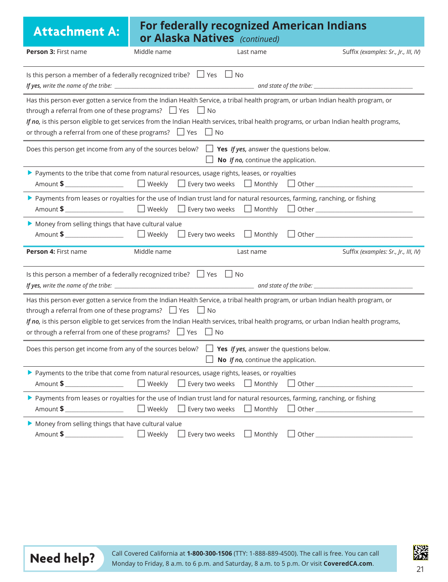| <b>Attachment A:</b>                                                                                                                                                                                                                                                                                                                                                                                                           |             | <b>For federally recognized American Indians</b><br><b>or Alaska Natives</b> (continued) |                                                           |  |                                                                                  |
|--------------------------------------------------------------------------------------------------------------------------------------------------------------------------------------------------------------------------------------------------------------------------------------------------------------------------------------------------------------------------------------------------------------------------------|-------------|------------------------------------------------------------------------------------------|-----------------------------------------------------------|--|----------------------------------------------------------------------------------|
| Person 3: First name                                                                                                                                                                                                                                                                                                                                                                                                           | Middle name |                                                                                          | Last name                                                 |  | Suffix (examples: Sr., Jr., III, IV)                                             |
| Is this person a member of a federally recognized tribe? $\Box$ Yes $\Box$ No                                                                                                                                                                                                                                                                                                                                                  |             |                                                                                          |                                                           |  |                                                                                  |
| Has this person ever gotten a service from the Indian Health Service, a tribal health program, or urban Indian health program, or<br>through a referral from one of these programs? $\Box$ Yes $\Box$ No<br>If no, is this person eligible to get services from the Indian Health services, tribal health programs, or urban Indian health programs,<br>or through a referral from one of these programs? $\Box$ Yes $\Box$ No |             |                                                                                          |                                                           |  |                                                                                  |
| Does this person get income from any of the sources below? $\Box$ Yes If yes, answer the questions below.                                                                                                                                                                                                                                                                                                                      |             |                                                                                          | $\Box$ <b>No</b> <i>If no</i> , continue the application. |  |                                                                                  |
| ▶ Payments to the tribe that come from natural resources, usage rights, leases, or royalties                                                                                                                                                                                                                                                                                                                                   |             |                                                                                          |                                                           |  |                                                                                  |
| > Payments from leases or royalties for the use of Indian trust land for natural resources, farming, ranching, or fishing                                                                                                                                                                                                                                                                                                      |             |                                                                                          |                                                           |  |                                                                                  |
| Money from selling things that have cultural value                                                                                                                                                                                                                                                                                                                                                                             |             |                                                                                          |                                                           |  |                                                                                  |
| Person 4: First name                                                                                                                                                                                                                                                                                                                                                                                                           | Middle name |                                                                                          | Last name                                                 |  | Suffix (examples: Sr., Jr., III, IV)                                             |
| Is this person a member of a federally recognized tribe? $\Box$ Yes $\Box$ No                                                                                                                                                                                                                                                                                                                                                  |             |                                                                                          |                                                           |  |                                                                                  |
| Has this person ever gotten a service from the Indian Health Service, a tribal health program, or urban Indian health program, or<br>through a referral from one of these programs? $\Box$ Yes $\Box$ No<br>If no, is this person eligible to get services from the Indian Health services, tribal health programs, or urban Indian health programs,<br>or through a referral from one of these programs? $\Box$ Yes $\Box$ No |             |                                                                                          |                                                           |  |                                                                                  |
| Does this person get income from any of the sources below? $\Box$ Yes If yes, answer the questions below.<br>No If no, continue the application.                                                                                                                                                                                                                                                                               |             |                                                                                          |                                                           |  |                                                                                  |
| > Payments to the tribe that come from natural resources, usage rights, leases, or royalties<br>Amount \$                                                                                                                                                                                                                                                                                                                      |             |                                                                                          |                                                           |  | □ Weekly □ Every two weeks □ Monthly □ Other __________________________________  |
| > Payments from leases or royalties for the use of Indian trust land for natural resources, farming, ranching, or fishing<br>Amount \$                                                                                                                                                                                                                                                                                         |             |                                                                                          |                                                           |  | □ Weekly □ Every two weeks □ Monthly □ Other ___________________________________ |
| Money from selling things that have cultural value                                                                                                                                                                                                                                                                                                                                                                             |             |                                                                                          | $\Box$ Monthly                                            |  |                                                                                  |



Call Covered California at **1-800-300-1506** (TTY: 1-888-889-4500). The call is free. You can call **Need help?** Monday to Friday, 8 a.m. to 6 p.m. and Saturday, 8 a.m. to 5 p.m. Or visit **CoveredCA.com**. 21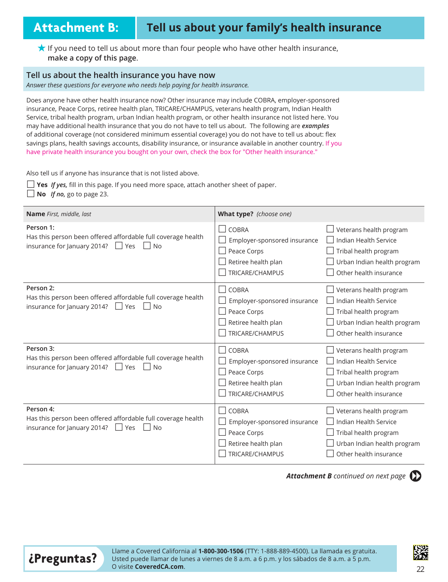## **Attachment B: Tell us about your family's health insurance**

<del>★</del> If you need to tell us about more than four people who have other health insurance, make a copy of this page.

#### **Tell us about the health insurance you have now**

Answer these questions for everyone who needs help paying for health insurance.

Does anyone have other health insurance now? Other insurance may include COBRA, employer-sponsored insurance, Peace Corps, retiree health plan, TRICARE/CHAMPUS, veterans health program, Indian Health Service, tribal health program, urban Indian health program, or other health insurance not listed here. You may have additional health insurance that you do not have to tell us about. The following are examples of additional coverage (not considered minimum essential coverage) you do not have to tell us about: flex savings plans, health savings accounts, disability insurance, or insurance available in another country. If you have private health insurance you bought on your own, check the box for "Other health insurance."

Also tell us if anyone has insurance that is not listed above.

 $\Box$  **Yes** *If yes*, fill in this page. If you need more space, attach another sheet of paper.

 $\Box$  **No** *If no*, go to page 23.

| <b>Name</b> First, middle, last                              | What type? (choose one)      |                             |
|--------------------------------------------------------------|------------------------------|-----------------------------|
| Person 1:                                                    | <b>COBRA</b>                 | Veterans health program     |
| Has this person been offered affordable full coverage health | Employer-sponsored insurance | Indian Health Service       |
| insurance for January 2014?                                  | Peace Corps                  | Tribal health program       |
| $\Box$ Yes                                                   | Retiree health plan          | Urban Indian health program |
| No                                                           | TRICARE/CHAMPUS              | Other health insurance      |
| Person 2:                                                    | <b>COBRA</b>                 | Veterans health program     |
| Has this person been offered affordable full coverage health | Employer-sponsored insurance | Indian Health Service       |
| insurance for January 2014?                                  | Peace Corps                  | Tribal health program       |
| <b>No</b>                                                    | Retiree health plan          | Urban Indian health program |
| l lYes                                                       | TRICARE/CHAMPUS              | Other health insurance      |
| Person 3:                                                    | <b>COBRA</b>                 | Veterans health program     |
| Has this person been offered affordable full coverage health | Employer-sponsored insurance | Indian Health Service       |
| insurance for January 2014?                                  | Peace Corps                  | Tribal health program       |
| <b>No</b>                                                    | Retiree health plan          | Urban Indian health program |
| Yes                                                          | TRICARE/CHAMPUS              | Other health insurance      |
| Person 4:                                                    | <b>COBRA</b>                 | Veterans health program     |
| Has this person been offered affordable full coverage health | Employer-sponsored insurance | Indian Health Service       |
| insurance for January 2014?                                  | Peace Corps                  | Tribal health program       |
| Yes                                                          | Retiree health plan          | Urban Indian health program |
| <b>No</b>                                                    | TRICARE/CHAMPUS              | Other health insurance      |

**Attachment B** continued on next page  $\Box$ 



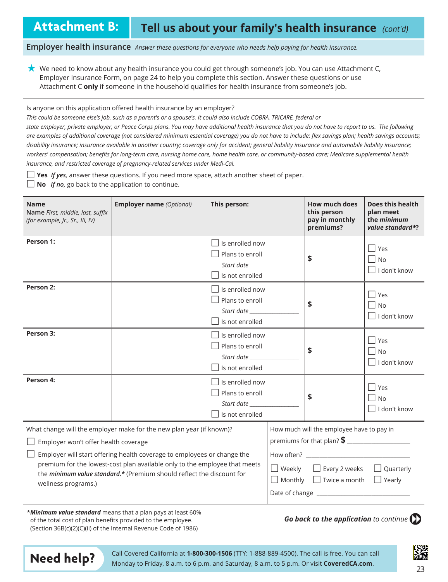**Attachment B:** Tell us about your family's health insurance (cont'd)

**Employer health insurance** *Answer these questions for everyone who needs help paying for health insurance.* 

 $\star$  We need to know about any health insurance you could get through someone's job. You can use Attachment C, Employer Insurance Form, on page 24 to help you complete this section. Answer these questions or use Attachment C **only** if someone in the household qualifies for health insurance from someone's job.

Is anyone on this application offered health insurance by an employer?

*This could be someone else's job, such as a parent's or a spouse's. It could also include COBRA, TRICARE, federal or* 

state employer, private employer, or Peace Corps plans. You may have additional health insurance that you do not have to report to us. The following are examples of additional coverage (not considered minimum essential coverage) you do not have to include: flex savings plan; health savings accounts; disability insurance; insurance available in another country; coverage only for accident; general liability insurance and automobile liability insurance; workers' compensation; benefits for long-term care, nursing home care, home health care, or community-based care; Medicare supplemental health insurance, and restricted coverage of pregnancy-related services under Medi-Cal.

 $\Box$  **Yes** *If yes*, answer these questions. If you need more space, attach another sheet of paper.

 $\Box$  **No** *If no*, go back to the application to continue.

| <b>Name</b><br>Name First, middle, last, suffix<br>(for example, Jr., Sr., III, IV)                                                                                                                                                                                                                                                                                   | <b>Employer name</b> (Optional)                                    | This person:                                                                      |                                                                                                                                                      | <b>How much does</b><br>this person<br>pay in monthly<br>premiums? | Does this health<br>plan meet<br>the <i>minimum</i><br>value standard*? |
|-----------------------------------------------------------------------------------------------------------------------------------------------------------------------------------------------------------------------------------------------------------------------------------------------------------------------------------------------------------------------|--------------------------------------------------------------------|-----------------------------------------------------------------------------------|------------------------------------------------------------------------------------------------------------------------------------------------------|--------------------------------------------------------------------|-------------------------------------------------------------------------|
| Person 1:                                                                                                                                                                                                                                                                                                                                                             |                                                                    | Is enrolled now<br>$\Box$ Plans to enroll<br>Is not enrolled                      |                                                                                                                                                      | \$                                                                 | $\Box$ Yes<br>$\Box$ No<br>$\Box$<br>I don't know                       |
| Person 2:                                                                                                                                                                                                                                                                                                                                                             |                                                                    | $\Box$ Is enrolled now<br>Plans to enroll<br>Start date<br>$\Box$ Is not enrolled |                                                                                                                                                      | \$                                                                 | $\Box$ Yes<br>$\Box$ No<br>$\Box$ I don't know                          |
| Person 3:                                                                                                                                                                                                                                                                                                                                                             |                                                                    | $\Box$ Is enrolled now<br>Plans to enroll<br>Start date<br>Is not enrolled        |                                                                                                                                                      | \$                                                                 | $\Box$ Yes<br>    No<br>$\Box$ I don't know                             |
| Person 4:                                                                                                                                                                                                                                                                                                                                                             |                                                                    | $\Box$ Is enrolled now<br>Plans to enroll<br>Start date<br>Is not enrolled        |                                                                                                                                                      | \$                                                                 | $\Box$ Yes<br>$\Box$ No<br>I don't know                                 |
| What change will the employer make for the new plan year (if known)?<br>Employer won't offer health coverage<br>Employer will start offering health coverage to employees or change the<br>premium for the lowest-cost plan available only to the employee that meets<br>the minimum value standard.* (Premium should reflect the discount for<br>wellness programs.) |                                                                    | $\Box$ Weekly                                                                     | How much will the employee have to pay in<br>premiums for that plan? \$<br>$\Box$ Every 2 weeks<br>$\Box$ Monthly $\Box$ Twice a month $\Box$ Yearly | $\Box$ Quarterly                                                   |                                                                         |
|                                                                                                                                                                                                                                                                                                                                                                       | <b>*Minimum value standard</b> means that a plan pays at least 60% |                                                                                   |                                                                                                                                                      |                                                                    |                                                                         |

**\*Minimum value standard** means that a plan pays at least 60% of the total cost of plan benefits provided to the employee. (Section 36B(c)(2)(C)(ii) of the Internal Revenue Code of 1986)

*Go back to the application* to continue  $\left\langle \right\rangle$ 



Call Covered California at **1-800-300-1506** (TTY: 1-888-889-4500). The call is free. You can call Monday to Friday, 8 a.m. to 6 p.m. and Saturday, 8 a.m. to 5 p.m. Or visit **CoveredCA.com**.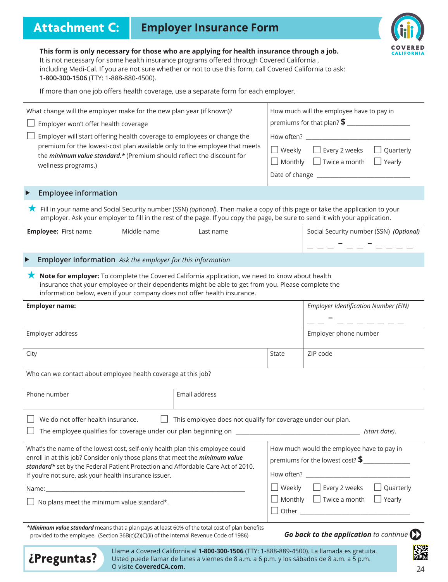## **Attachment C: Employer Insurance Form**



**This form is only necessary for those who are applying for health insurance through a job.** It is not necessary for some health insurance programs offered through Covered California, including Medi-Cal. If you are not sure whether or not to use this form, call Covered California to ask: 1-800-300-1506 (TTY: 1-888-880-4500).

If more than one job offers health coverage, use a separate form for each employer.

| What change will the employer make for the new plan year (if known)?                                                                                                                                                                                                                                       |                                                                    |                                                                                | How much will the employee have to pay in                                                    |  |  |
|------------------------------------------------------------------------------------------------------------------------------------------------------------------------------------------------------------------------------------------------------------------------------------------------------------|--------------------------------------------------------------------|--------------------------------------------------------------------------------|----------------------------------------------------------------------------------------------|--|--|
| Employer won't offer health coverage                                                                                                                                                                                                                                                                       |                                                                    |                                                                                |                                                                                              |  |  |
| Employer will start offering health coverage to employees or change the<br>premium for the lowest-cost plan available only to the employee that meets<br>the minimum value standard.* (Premium should reflect the discount for<br>wellness programs.)                                                      |                                                                    |                                                                                | □ Weekly □ Every 2 weeks □ Quarterly<br>$\Box$ Monthly $\Box$ Twice a month<br>$\Box$ Yearly |  |  |
| <b>Employee information</b>                                                                                                                                                                                                                                                                                |                                                                    |                                                                                |                                                                                              |  |  |
| ★ Fill in your name and Social Security number (SSN) (optional). Then make a copy of this page or take the application to your<br>employer. Ask your employer to fill in the rest of the page. If you copy the page, be sure to send it with your application.                                             |                                                                    |                                                                                |                                                                                              |  |  |
| <b>Employee: First name</b><br>Middle name                                                                                                                                                                                                                                                                 | Last name                                                          |                                                                                | Social Security number (SSN) (Optional)<br>__ _ <del>_</del> _ _ _ _                         |  |  |
| Employer information Ask the employer for this information                                                                                                                                                                                                                                                 |                                                                    |                                                                                |                                                                                              |  |  |
| Note for employer: To complete the Covered California application, we need to know about health<br>insurance that your employee or their dependents might be able to get from you. Please complete the<br>information below, even if your company does not offer health insurance.                         |                                                                    |                                                                                |                                                                                              |  |  |
| <b>Employer name:</b>                                                                                                                                                                                                                                                                                      |                                                                    |                                                                                | <b>Employer Identification Number (EIN)</b>                                                  |  |  |
| Employer address                                                                                                                                                                                                                                                                                           |                                                                    |                                                                                | Employer phone number                                                                        |  |  |
| City                                                                                                                                                                                                                                                                                                       |                                                                    | State                                                                          | ZIP code                                                                                     |  |  |
| Who can we contact about employee health coverage at this job?                                                                                                                                                                                                                                             |                                                                    |                                                                                |                                                                                              |  |  |
| Phone number                                                                                                                                                                                                                                                                                               | Email address                                                      |                                                                                |                                                                                              |  |  |
| We do not offer health insurance.                                                                                                                                                                                                                                                                          | $\Box$ This employee does not qualify for coverage under our plan. |                                                                                | (start date).                                                                                |  |  |
| What's the name of the lowest cost, self-only health plan this employee could<br>enroll in at this job? Consider only those plans that meet the minimum value<br>standard* set by the Federal Patient Protection and Affordable Care Act of 2010.<br>If you're not sure, ask your health insurance issuer. |                                                                    | How much would the employee have to pay in<br>premiums for the lowest cost? \$ |                                                                                              |  |  |
|                                                                                                                                                                                                                                                                                                            |                                                                    |                                                                                | $\Box$ Quarterly<br>$\Box$ Weekly $\Box$ Every 2 weeks                                       |  |  |
| No plans meet the minimum value standard*.                                                                                                                                                                                                                                                                 |                                                                    |                                                                                | $\Box$ Monthly $\Box$ Twice a month $\Box$ Yearly<br>$\Box$ Other $\Box$                     |  |  |
| *Minimum value standard means that a plan pays at least 60% of the total cost of plan benefits<br>provided to the employee. (Section 36B(c)(2)(C)(ii) of the Internal Revenue Code of 1986)                                                                                                                |                                                                    |                                                                                | Go back to the application to continue $\sum$                                                |  |  |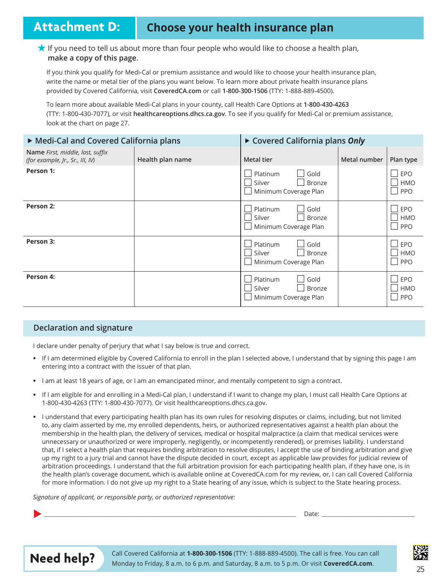## **Attachment D: Choose your health insurance plan**

#### THE If you need to tell us about more than four people who would like to choose a health plan, make a copy of this page.

If you think you qualify for Medi-Cal or premium assistance and would like to choose your health insurance plan, write the name or metal tier of the plans you want below. To learn more about private health insurance plans provided by Covered California, visit CoveredCA.com or call 1-800-300-1506 (TTY: 1-888-889-4500).

To learn more about available Medi-Cal plans in your county, call Health Care Options at 1-800-430-4263 (TTY: 1-800-430-7077), or visit healthcareoptions.dhcs.ca.gov. To see if you qualify for Medi-Cal or premium assistance, look at the chart on page 27.

| ▶ Medi-Cal and Covered California plans                              |                  | ▶ Covered California plans Only                                      |              |                                 |
|----------------------------------------------------------------------|------------------|----------------------------------------------------------------------|--------------|---------------------------------|
| Name First, middle, last, suffix<br>(for example, Jr., Sr., III, IV) | Health plan name | <b>Metal tier</b>                                                    | Metal number | Plan type                       |
| Person 1:                                                            |                  | Platinum<br>Gold<br>Silver<br><b>Bronze</b><br>Minimum Coverage Plan |              | EPO<br><b>HMO</b><br>PPO        |
| Person 2:                                                            |                  | Platinum<br>Gold<br>Silver<br>Bronze<br>Minimum Coverage Plan        |              | EPO<br><b>HMO</b><br><b>PPO</b> |
| Person 3:                                                            |                  | Platinum<br>Gold<br>Silver<br><b>Bronze</b><br>Minimum Coverage Plan |              | EPO<br><b>HMO</b><br><b>PPO</b> |
| Person 4:                                                            |                  | Platinum<br>Gold<br>Silver<br><b>Bronze</b><br>Minimum Coverage Plan |              | EPO<br><b>HMO</b><br><b>PPO</b> |

#### **Declaration and signature**

I declare under penalty of perjury that what I say below is true and correct.

- If I am determined eligible by Covered California to enroll in the plan I selected above, I understand that by signing this page I am entering into a contract with the issuer of that plan.
- I am at least 18 years of age, or I am an emancipated minor, and mentally competent to sign a contract.
- If I am eligible for and enrolling in a Medi-Cal plan, I understand if I want to change my plan, I must call Health Care Options at 1-800-430-4263 (TTY: 1-800-430-7077). Or visit healthcareoptions.dhcs.ca.gov.
- I understand that every participating health plan has its own rules for resolving disputes or claims, including, but not limited to, any claim asserted by me, my enrolled dependents, heirs, or authorized representatives against a health plan about the membership in the health plan, the delivery of services, medical or hospital malpractice (a claim that medical services were unnecessary or unauthorized or were improperly, negligently, or incompetently rendered), or premises liability. I understand that, if I select a health plan that requires binding arbitration to resolve disputes, I accept the use of binding arbitration and give up my right to a jury trial and cannot have the dispute decided in court, except as applicable law provides for judicial review of arbitration proceedings. I understand that the full arbitration provision for each participating health plan, if they have one, is in the health plan's coverage document, which is available online at CoveredCA.com for my review, or, I can call Covered California for more information. I do not give up my right to a State hearing of any issue, which is subject to the State hearing process.

Signature of applicant, or responsible party, or authorized representative:

X *\_\_\_\_\_\_\_\_\_\_\_\_\_\_\_\_\_\_\_\_\_\_\_\_\_\_\_\_\_\_\_\_\_\_\_\_\_\_\_\_\_\_\_\_\_\_\_\_\_\_\_\_\_\_\_\_\_\_\_\_\_\_\_\_\_\_\_\_\_\_\_\_\_\_\_\_\_\_\_\_\_\_\_\_\_\_\_\_\_\_\_\_\_\_\_\_\_\_\_\_\_\_\_\_\_\_\_\_\_\_\_\_\_\_\_\_\_\_\_\_\_\_\_\_\_\_\_\_\_\_\_\_\_\_\_\_\_\_\_\_\_\_\_\_\_\_\_\_\_\_\_\_\_\_\_\_\_* 'DWH *\_\_\_\_\_\_\_\_\_\_\_\_\_\_\_\_\_\_\_\_\_\_\_\_\_\_\_\_\_\_\_\_\_\_\_\_\_\_\_\_\_\_\_\_\_\_\_\_\_\_\_\_\_\_\_\_\_\_*



Call Covered California at **1-800-300-1506** (TTY: 1-888-889-4500). The call is free. You can call Monday to Friday, 8 a.m. to 6 p.m. and Saturday, 8 a.m. to 5 p.m. Or visit **CoveredCA.com.** 

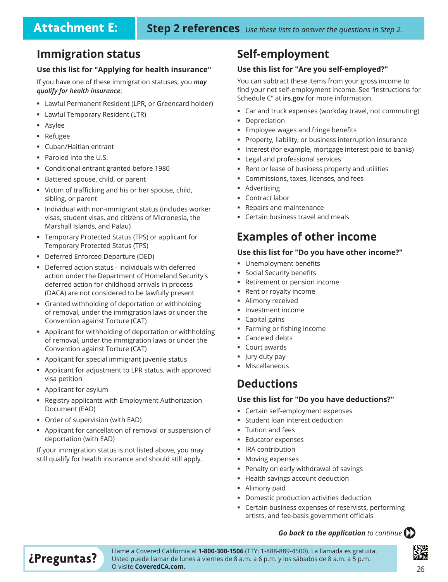### **Immigration status**

#### **Use this list for "Applying for health insurance"**

If you have one of these immigration statuses, you *may qualify for health insurance*

- Lawful Permanent Resident (LPR, or Greencard holder)
- Lawful Temporary Resident (LTR)
- **Asylee**
- Refugee
- Cuban/Haitian entrant
- $\blacksquare$  Paroled into the U.S.
- Conditional entrant granted before 1980
- **Battered spouse, child, or parent**
- Victim of trafficking and his or her spouse, child, sibling, or parent
- Individual with non-immigrant status (includes worker visas, student visas, and citizens of Micronesia, the Marshall Islands, and Palau)
- Temporary Protected Status (TPS) or applicant for Temporary Protected Status (TPS)
- " Deferred Enforced Departure (DED)
- " Deferred action status individuals with deferred action under the Department of Homeland Security's deferred action for childhood arrivals in process (DACA) are not considered to be lawfully present
- \* Granted withholding of deportation or withholding of removal, under the immigration laws or under the Convention against Torture (CAT)
- Applicant for withholding of deportation or withholding of removal, under the immigration laws or under the Convention against Torture (CAT)
- **•** Applicant for special immigrant juvenile status
- **•** Applicant for adjustment to LPR status, with approved visa petition
- **Applicant for asylum**
- **Example 3** Registry applicants with Employment Authorization Document (EAD)
- Order of supervision (with EAD)
- Applicant for cancellation of removal or suspension of deportation (with EAD)

If your immigration status is not listed above, you may still qualify for health insurance and should still apply.

### **Self-employment**

#### **Use this list for "Are you self-employed?"**

You can subtract these items from your gross income to find your net self-employment income. See "Instructions for Schedule C" at irs.gov for more information.

- Car and truck expenses (workday travel, not commuting)
- Depreciation
- Employee wages and fringe benefits
- Property, liability, or business interruption insurance
- Interest (for example, mortgage interest paid to banks)
- Legal and professional services
- Rent or lease of business property and utilities
- Commissions, taxes, licenses, and fees
- Advertising
- Contract labor
- Repairs and maintenance
- Certain business travel and meals

### **Examples of other income**

#### **Use this list for "Do you have other income?"**

- Unemployment benefits
- Social Security benefits
- Retirement or pension income
- Rent or royalty income
- Alimony received
- Investment income
- Capital gains
- Farming or fishing income
- Canceled debts
- Court awards
- Jury duty pay
- Miscellaneous

### **Deductions**

#### **Use this list for "Do you have deductions?"**

- Certain self-employment expenses
- Student loan interest deduction
- Tuition and fees
- Educator expenses
- **-** IRA contribution
- Moving expenses
- Penalty on early withdrawal of savings
- Health savings account deduction
- Alimony paid
- Domestic production activities deduction
- Certain business expenses of reservists, performing artists, and fee-basis government officials

#### *Go back to the application* to continue  $\left\langle \right\rangle$

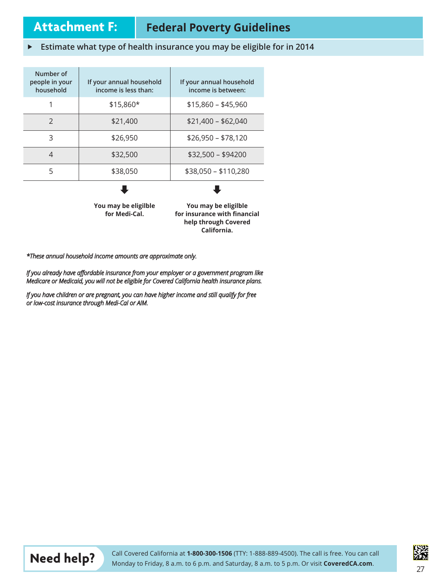## **Attachment F: Federal Poverty Guidelines**

**California.**

#### **Fight** Estimate what type of health insurance you may be eligible for in 2014

| Number of<br>people in your<br>household | If your annual household<br>income is less than: | If your annual household<br>income is between:                               |
|------------------------------------------|--------------------------------------------------|------------------------------------------------------------------------------|
| 1                                        | \$15,860*                                        | $$15,860 - $45,960$                                                          |
| $\mathcal{P}$                            | \$21,400                                         | $$21,400 - $62,040$                                                          |
| 3                                        | \$26,950                                         | $$26,950 - $78,120$                                                          |
| $\overline{\mathcal{A}}$                 | \$32,500                                         | $$32,500 - $94200$                                                           |
| 5                                        | \$38,050                                         | \$38,050 - \$110,280                                                         |
|                                          | You may be eligilble<br>for Medi-Cal.            | You may be eligilble<br>for insurance with financial<br>help through Covered |

\*These annual household income amounts are approximate only.

If you already have affordable insurance from your employer or a government program like Medicare or Medicaid, you will not be eligible for Covered California health insurance plans.

If you have children or are pregnant, you can have higher income and still qualify for free or low-cost insurance through Medi-Cal or AIM.



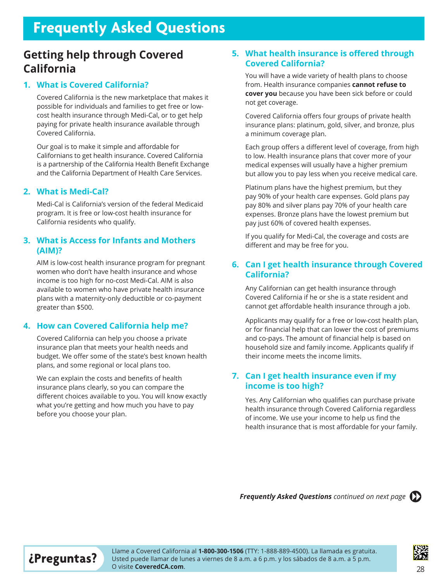## **Frequently Asked Questions**

### **Getting help through Covered California**

#### **1. What is Covered California?**

Covered California is the new marketplace that makes it possible for individuals and families to get free or lowcost health insurance through Medi-Cal, or to get help paying for private health insurance available through Covered California.

Our goal is to make it simple and affordable for Californians to get health insurance. Covered California is a partnership of the California Health Benefit Exchange and the California Department of Health Care Services.

#### **2. What is Medi-Cal?**

Medi-Cal is California's version of the federal Medicaid program. It is free or low-cost health insurance for California residents who qualify.

#### **3. What is Access for Infants and Mothers (AIM)?**

AIM is low-cost health insurance program for pregnant women who don't have health insurance and whose income is too high for no-cost Medi-Cal. AIM is also available to women who have private health insurance plans with a maternity-only deductible or co-payment greater than \$500.

#### **4. How can Covered California help me?**

Covered California can help you choose a private insurance plan that meets your health needs and budget. We offer some of the state's best known health plans, and some regional or local plans too.

We can explain the costs and benefits of health insurance plans clearly, so you can compare the different choices available to you. You will know exactly what you're getting and how much you have to pay before you choose your plan.

#### **5. What health insurance is offered through Covered California?**

You will have a wide variety of health plans to choose from. Health insurance companies **cannot refuse to cover you** because you have been sick before or could not get coverage.

Covered California offers four groups of private health insurance plans: platinum, gold, silver, and bronze, plus a minimum coverage plan.

Each group offers a different level of coverage, from high to low. Health insurance plans that cover more of your medical expenses will usually have a higher premium but allow you to pay less when you receive medical care.

Platinum plans have the highest premium, but they pay 90% of your health care expenses. Gold plans pay pay 80% and silver plans pay 70% of your health care expenses. Bronze plans have the lowest premium but pay just 60% of covered health expenses.

If you qualify for Medi-Cal, the coverage and costs are different and may be free for you.

#### **6. Can I get health insurance through Covered California?**

Any Californian can get health insurance through Covered California if he or she is a state resident and cannot get affordable health insurance through a job.

Applicants may qualify for a free or low-cost health plan, or for financial help that can lower the cost of premiums and co-pays. The amount of financial help is based on household size and family income. Applicants qualify if their income meets the income limits.

#### **7. Can I get health insurance even if my income is too high?**

Yes. Any Californian who qualifies can purchase private health insurance through Covered California regardless of income. We use your income to help us find the health insurance that is most affordable for your family.

**Frequently Asked Questions** continued on next page ( $\sum$ 



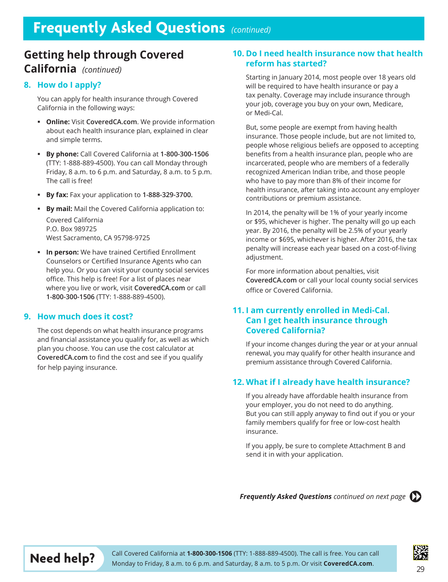## **Getting help through Covered**

### **California** *(continued)*

#### **8. How do I apply?**

You can apply for health insurance through Covered California in the following ways:

- **Online:** Visit CoveredCA.com. We provide information about each health insurance plan, explained in clear and simple terms.
- **By phone:** Call Covered California at **1-800-300-1506** (TTY: 1-888-889-4500). You can call Monday through Friday, 8 a.m. to 6 p.m. and Saturday, 8 a.m. to 5 p.m. The call is free!
- **By fax:** Fax your application to **1-888-329-3700.**
- **By mail:** Mail the Covered California application to: Covered California P.O. Box 989725 West Sacramento, CA 95798-9725
- **In person:** We have trained Certified Enrollment Counselors or Certified Insurance Agents who can help you. Or you can visit your county social services office. This help is free! For a list of places near where you live or work, visit CoveredCA.com or call 1-800-300-1506 (TTY: 1-888-889-4500).

#### **9. How much does it cost?**

The cost depends on what health insurance programs and financial assistance you qualify for, as well as which plan you choose. You can use the cost calculator at **CoveredCA.com** to find the cost and see if you qualify for help paying insurance.

#### **10. Do I need health insurance now that health reform has started?**

Starting in January 2014, most people over 18 years old will be required to have health insurance or pay a tax penalty. Coverage may include insurance through your job, coverage you buy on your own, Medicare, or Medi-Cal.

But, some people are exempt from having health insurance. Those people include, but are not limited to, people whose religious beliefs are opposed to accepting benefits from a health insurance plan, people who are incarcerated, people who are members of a federally recognized American Indian tribe, and those people who have to pay more than 8% of their income for health insurance, after taking into account any employer contributions or premium assistance.

In 2014, the penalty will be 1% of your yearly income or \$95, whichever is higher. The penalty will go up each year. By 2016, the penalty will be 2.5% of your yearly income or \$695, whichever is higher. After 2016, the tax penalty will increase each year based on a cost-of-living adjustment.

For more information about penalties, visit **CoveredCA.com** or call your local county social services office or Covered California.

#### **11. I am currently enrolled in Medi-Cal. Can I get health insurance through Covered California?**

If your income changes during the year or at your annual renewal, you may qualify for other health insurance and premium assistance through Covered California.

#### **12. What if I already have health insurance?**

If you already have affordable health insurance from your employer, you do not need to do anything. But you can still apply anyway to find out if you or your family members qualify for free or low-cost health insurance.

If you apply, be sure to complete Attachment B and send it in with your application.

**Frequently Asked Questions** continued on next page ( $\sum$ 





Call Covered California at **1-800-300-1506** (TTY: 1-888-889-4500). The call is free. You can call Monday to Friday, 8 a.m. to 6 p.m. and Saturday, 8 a.m. to 5 p.m. Or visit **CoveredCA.com.**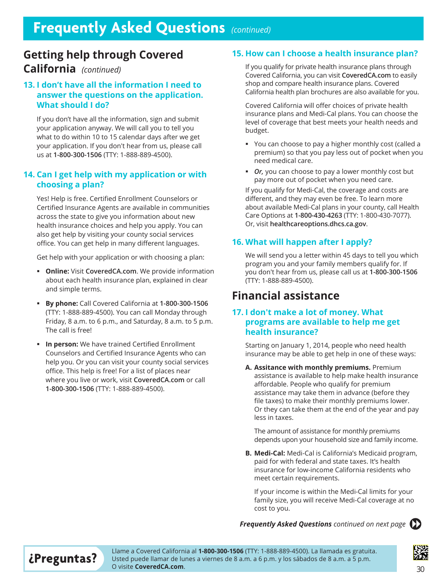## **Getting help through Covered**

### **California** *(continued)*

#### **13. I don't have all the information I need to answer the questions on the application. What should I do?**

If you don't have all the information, sign and submit your application anyway. We will call you to tell you what to do within 10 to 15 calendar days after we get your application. If you don't hear from us, please call us at 1-800-300-1506 (TTY: 1-888-889-4500).

#### **14. Can I get help with my application or with choosing a plan?**

Yes! Help is free. Certified Enrollment Counselors or Certified Insurance Agents are available in communities across the state to give you information about new health insurance choices and help you apply. You can also get help by visiting your county social services office. You can get help in many different languages.

Get help with your application or with choosing a plan:

- **Online:** Visit CoveredCA.com. We provide information about each health insurance plan, explained in clear and simple terms.
- **By phone:** Call Covered California at **1-800-300-1506** (TTY: 1-888-889-4500). You can call Monday through Friday, 8 a.m. to 6 p.m., and Saturday, 8 a.m. to 5 p.m. The call is free!
- **In person:** We have trained Certified Enrollment Counselors and Certified Insurance Agents who can help you. Or you can visit your county social services office. This help is free! For a list of places near where you live or work, visit **CoveredCA.com** or call 1-800-300-1506 (TTY: 1-888-889-4500).

#### **15. How can I choose a health insurance plan?**

If you qualify for private health insurance plans through Covered California, you can visit **CoveredCA.com** to easily shop and compare health insurance plans. Covered California health plan brochures are also available for you.

Covered California will offer choices of private health insurance plans and Medi-Cal plans. You can choose the level of coverage that best meets your health needs and budget.

- You can choose to pay a higher monthly cost (called a premium) so that you pay less out of pocket when you need medical care.
- *Or*, you can choose to pay a lower monthly cost but pay more out of pocket when you need care.

If you qualify for Medi-Cal, the coverage and costs are different, and they may even be free. To learn more about available Medi-Cal plans in your county, call Health Care Options at 1-800-430-4263 (TTY: 1-800-430-7077). Or, visit healthcareoptions.dhcs.ca.gov.

#### **16. What will happen after I apply?**

We will send you a letter within 45 days to tell you which program you and your family members qualify for. If you don't hear from us, please call us at **1-800-300-1506** (TTY: 1-888-889-4500).

### **Financial assistance**

#### **17. I don't make a lot of money. What programs are available to help me get health insurance?**

Starting on January 1, 2014, people who need health insurance may be able to get help in one of these ways:

**A. Assitance with monthly premiums.** Premium assistance is available to help make health insurance affordable. People who qualify for premium assistance may take them in advance (before they file taxes) to make their monthly premiums lower. Or they can take them at the end of the year and pay less in taxes.

The amount of assistance for monthly premiums depends upon your household size and family income.

**B. Medi-Cal:** Medi-Cal is California's Medicaid program, paid for with federal and state taxes. It's health insurance for low-income California residents who meet certain requirements.

If your income is within the Medi-Cal limits for your family size, you will receive Medi-Cal coverage at no cost to you.

**Frequently Asked Questions** continued on next page ( $\sum$ 



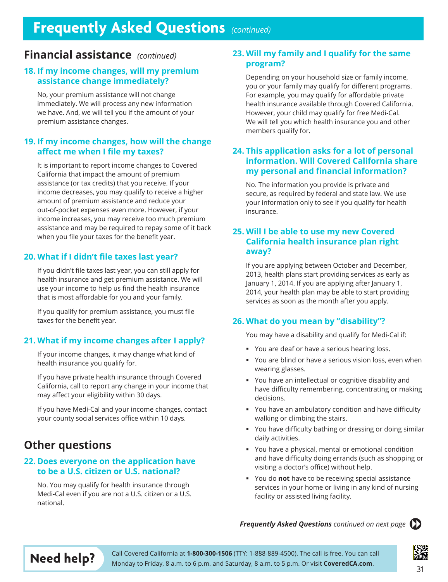## **Frequently Asked Questions** (continued)

### **Financial assistance** (continued)

#### **18. If my income changes, will my premium assistance change immediately?**

No, your premium assistance will not change immediately. We will process any new information we have. And, we will tell you if the amount of your premium assistance changes.

#### **19. If my income changes, how will the change affect me when I file my taxes?**

It is important to report income changes to Covered California that impact the amount of premium assistance (or tax credits) that you receive. If your income decreases, you may qualify to receive a higher amount of premium assistance and reduce your out-of-pocket expenses even more. However, if your income increases, you may receive too much premium assistance and may be required to repay some of it back when you file your taxes for the benefit year.

#### **20. What if I didn't file taxes last year?**

If you didn't file taxes last year, you can still apply for health insurance and get premium assistance. We will use your income to help us find the health insurance that is most affordable for you and your family.

If you qualify for premium assistance, you must file taxes for the benefit year.

#### **21. What if my income changes after I apply?**

If your income changes, it may change what kind of health insurance you qualify for.

If you have private health insurance through Covered California, call to report any change in your income that may affect your eligibility within 30 days.

If you have Medi-Cal and your income changes, contact your county social services office within 10 days.

### **Other questions**

#### **22. Does everyone on the application have to be a U.S. citizen or U.S. national?**

No. You may qualify for health insurance through Medi-Cal even if you are not a U.S. citizen or a U.S. national.

#### **23. Will my family and I qualify for the same program?**

Depending on your household size or family income, you or your family may qualify for different programs. For example, you may qualify for affordable private health insurance available through Covered California. However, your child may qualify for free Medi-Cal. We will tell you which health insurance you and other members qualify for.

#### **24. This application asks for a lot of personal information. Will Covered California share my personal and financial information?**

No. The information you provide is private and secure, as required by federal and state law. We use your information only to see if you qualify for health insurance.

#### **25. Will I be able to use my new Covered California health insurance plan right away?**

If you are applying between October and December, 2013, health plans start providing services as early as January 1, 2014. If you are applying after January 1, 2014, your health plan may be able to start providing services as soon as the month after you apply.

#### **26. What do you mean by "disability"?**

You may have a disability and qualify for Medi-Cal if:

- You are deaf or have a serious hearing loss.
- You are blind or have a serious vision loss, even when wearing glasses.
- Vou have an intellectual or cognitive disability and have difficulty remembering, concentrating or making decisions.
- You have an ambulatory condition and have difficulty walking or climbing the stairs.
- Vou have difficulty bathing or dressing or doing similar daily activities.
- You have a physical, mental or emotional condition and have difficulty doing errands (such as shopping or visiting a doctor's office) without help.
- You do **not** have to be receiving special assistance services in your home or living in any kind of nursing facility or assisted living facility.

#### **Frequently Asked Questions** continued on next page  $\sum$





**Need help?** Call Covered California at 1-800-300-1506 (TTY: 1-888-889-4500). The call is free. You can call Monday to Friday, 8 a.m. to 6 p.m. and Saturday, 8 a.m. to 5 p.m. Or visit **CoveredCA.com**. 31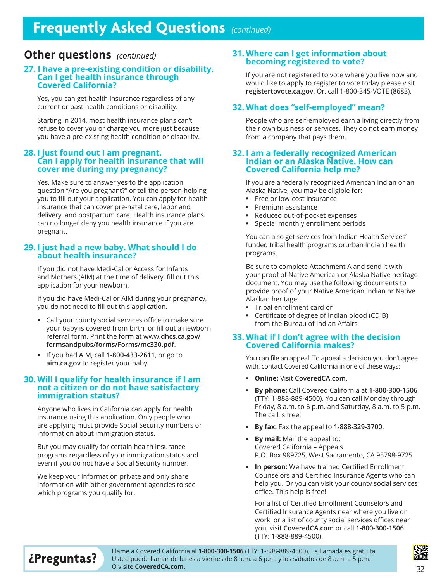## **Frequently Asked Questions** (continued)

### **Other questions** (continued)

#### **27. I have a pre-existing condition or disability. Can I get health insurance through Covered California?**

Yes, you can get health insurance regardless of any current or past health conditions or disability.

Starting in 2014, most health insurance plans can't refuse to cover you or charge you more just because you have a pre-existing health condition or disability.

#### **28. I just found out I am pregnant. Can I apply for health insurance that will cover me during my pregnancy?**

Yes. Make sure to answer yes to the application question "Are you pregnant?" or tell the person helping you to fill out your application. You can apply for health insurance that can cover pre-natal care, labor and delivery, and postpartum care. Health insurance plans can no longer deny you health insurance if you are pregnant.

#### **29. I just had a new baby. What should I do about health insurance?**

If you did not have Medi-Cal or Access for Infants and Mothers (AIM) at the time of delivery, fill out this application for your newborn.

If you did have Medi-Cal or AIM during your pregnancy, you do not need to fill out this application.

- Call your county social services office to make sure your baby is covered from birth, or fill out a newborn referral form. Print the form at www.dhcs.ca.gov/ **formsandpubs/forms/Forms/mc330.pdf**.
- If you had AIM, call 1-800-433-2611, or go to aim.ca.gov to register your baby.

### **30. Will I qualify for health insurance if I am not a citizen or do not have satisfactory immigration status?**

Anyone who lives in California can apply for health insurance using this application. Only people who are applying must provide Social Security numbers or information about immigration status.

But you may qualify for certain health insurance programs regardless of your immigration status and even if you do not have a Social Security number.

We keep your information private and only share information with other government agencies to see which programs you qualify for.

#### **31. Where can I get information about becoming registered to vote?**

If you are not registered to vote where you live now and would like to apply to register to vote today please visit **registertovote.ca.gov.** Or, call 1-800-345-VOTE (8683).

#### **32. What does "self-employed" mean?**

People who are self-employed earn a living directly from their own business or services. They do not earn money from a company that pays them.

#### **32. I am a federally recognized American Indian or an Alaska Native. How can Covered California help me?**

If you are a federally recognized American Indian or an Alaska Native, you may be eligible for:

- Free or low-cost insurance
- **Premium assistance**
- Reduced out-of-pocket expenses
- Special monthly enrollment periods

You can also get services from Indian Health Services' funded tribal health programs orurban Indian health programs.

Be sure to complete Attachment A and send it with your proof of Native American or Alaska Native heritage document. You may use the following documents to provide proof of your Native American Indian or Native Alaskan heritage:

- Tribal enrollment card or
- Certificate of degree of Indian blood (CDIB) from the Bureau of Indian Affairs

#### **33. What if I don't agree with the decision Covered California makes?**

You can file an appeal. To appeal a decision you don't agree with, contact Covered California in one of these ways:

- **Online: Visit CoveredCA.com.**
- **By phone:** Call Covered California at **1-800-300-1506** (TTY: 1-888-889-4500). You can call Monday through Friday, 8 a.m. to 6 p.m. and Saturday, 8 a.m. to 5 p.m. The call is free!
- **By fax:** Fax the appeal to 1-888-329-3700.
- **By mail:** Mail the appeal to: Covered California - Appeals P.O. Box 989725, West Sacramento, CA 95798-9725
- **In person:** We have trained Certified Enrollment Counselors and Certified Insurance Agents who can help you. Or you can visit your county social services office. This help is free!

For a list of Certified Enrollment Counselors and Certified Insurance Agents near where you live or work, or a list of county social services offices near \RXYLVLW**CoveredCA.com** or call **1-800-300-1506** (TTY: 1-888-889-4500).

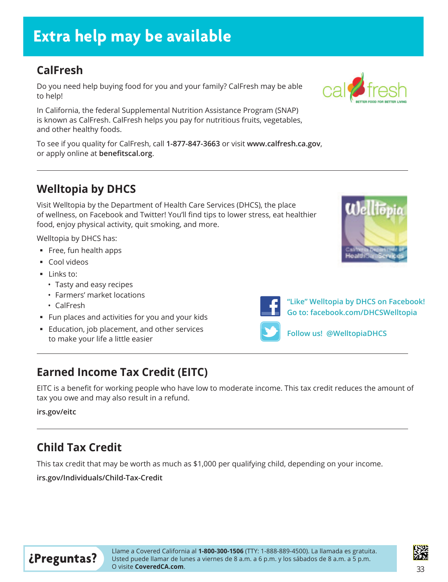## **Extra help may be available**

## **CalFresh**

Do you need help buying food for you and your family? CalFresh may be able to help!

In California, the federal Supplemental Nutrition Assistance Program (SNAP) is known as CalFresh. CalFresh helps you pay for nutritious fruits, vegetables, and other healthy foods.

To see if you quality for CalFresh, call 1-877-847-3663 or visit www.calfresh.ca.gov, or apply online at **benefitscal.org**.

### **Welltopia by DHCS**

Visit Welltopia by the Department of Health Care Services (DHCS), the place of wellness, on Facebook and Twitter! You'll find tips to lower stress, eat healthier food, enjoy physical activity, quit smoking, and more.

Welltopia by DHCS has:

- $\blacksquare$  Free, fun health apps
- Cool videos
- Links to:
	- Tasty and easy recipes
	- Farmers' market locations
	- CalFresh
- Fun places and activities for you and your kids
- Education, job placement, and other services to make your life a little easier

## **Earned Income Tax Credit (EITC)**

EITC is a benefit for working people who have low to moderate income. This tax credit reduces the amount of tax you owe and may also result in a refund.

#### irs.gov/eitc

## **Child Tax Credit**

This tax credit that may be worth as much as \$1,000 per qualifying child, depending on your income.

**Lubyary** irs.gov/Individuals/Child-Tax-Credit









**"Like" Welltopia by DHCS on Facebook! Go to: facebook.com/DHCSWelltopia** 



**Follow us! @WelltopiaDHCS**